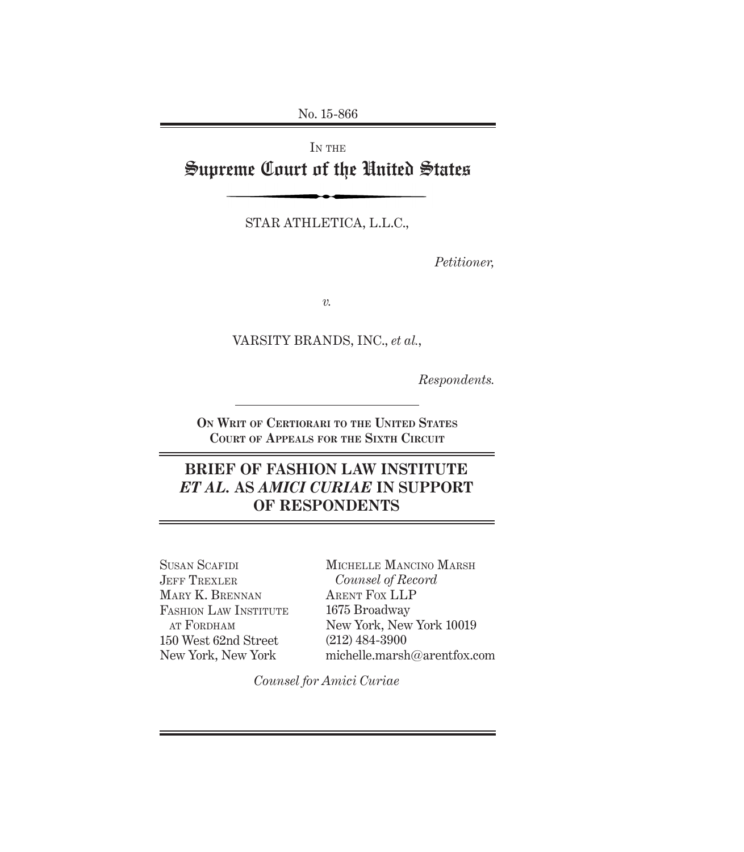No. 15-866

IN THE

# Supreme Court of the United States

STAR ATHLETICA, L.L.C.,

*Petitioner,*

*v.*

VARSITY BRANDS, INC., *et al.*,

*Respondents.*

**On Writ of Certiorari to the United States Court of Appeals for the Sixth Circuit**

## **BRIEF OF FASHION LAW INSTITUTE**  *ET AL.* **AS** *AMICI CURIAE* **IN SUPPORT OF RESPONDENTS**

Susan Scafidi JEFF TREXLER Mary K. Brennan FASHION LAW INSTITUTE at Fordham 150 West 62nd Street New York, New York

Michelle Mancino Marsh *Counsel of Record* Arent Fox LLP 1675 Broadway New York, New York 10019 (212) 484-3900 michelle.marsh@arentfox.com

*Counsel for Amici Curiae*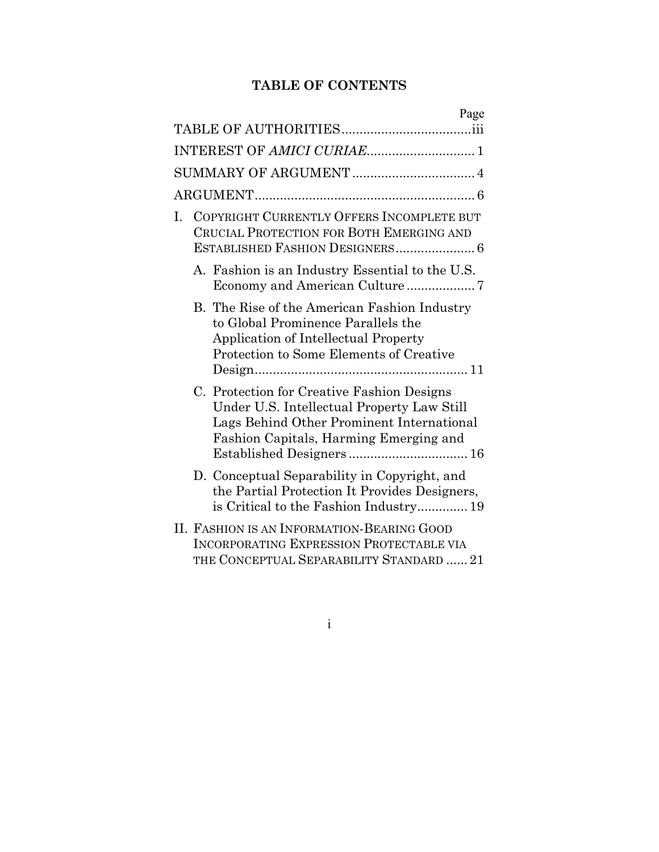## **TABLE OF CONTENTS**

| Page                                                                                                                                                                               |
|------------------------------------------------------------------------------------------------------------------------------------------------------------------------------------|
|                                                                                                                                                                                    |
| INTEREST OF AMICI CURIAE 1                                                                                                                                                         |
|                                                                                                                                                                                    |
|                                                                                                                                                                                    |
| COPYRIGHT CURRENTLY OFFERS INCOMPLETE BUT<br>L.<br>CRUCIAL PROTECTION FOR BOTH EMERGING AND<br>ESTABLISHED FASHION DESIGNERS 6                                                     |
| A. Fashion is an Industry Essential to the U.S.                                                                                                                                    |
| B. The Rise of the American Fashion Industry<br>to Global Prominence Parallels the<br>Application of Intellectual Property<br>Protection to Some Elements of Creative<br>Design 11 |
| C. Protection for Creative Fashion Designs<br>Under U.S. Intellectual Property Law Still<br>Lags Behind Other Prominent International<br>Fashion Capitals, Harming Emerging and    |
| D. Conceptual Separability in Copyright, and<br>the Partial Protection It Provides Designers,<br>is Critical to the Fashion Industry 19                                            |
| II. FASHION IS AN INFORMATION-BEARING GOOD<br><b>INCORPORATING EXPRESSION PROTECTABLE VIA</b><br>THE CONCEPTUAL SEPARABILITY STANDARD  21                                          |

i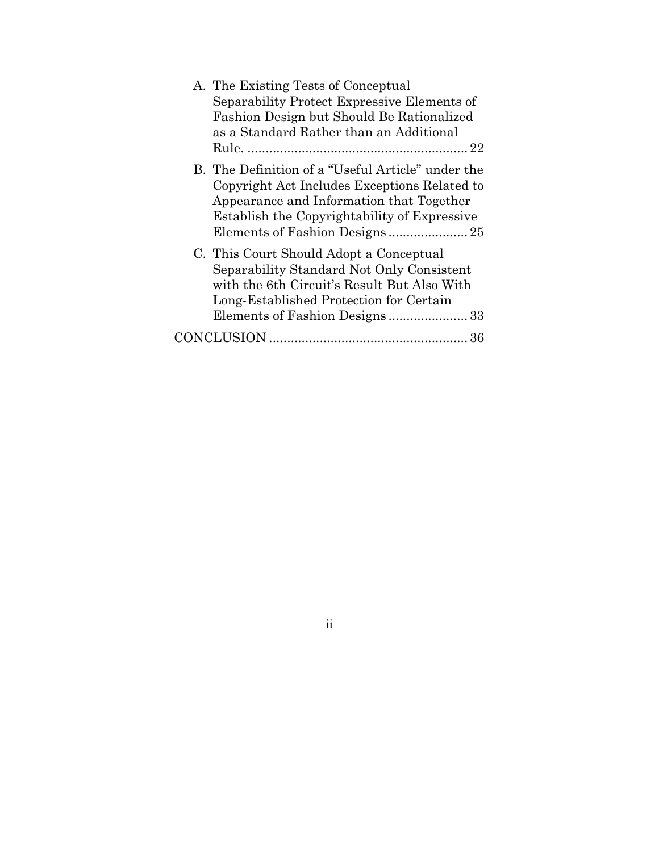| A. The Existing Tests of Conceptual<br>Separability Protect Expressive Elements of<br>Fashion Design but Should Be Rationalized                                                               |
|-----------------------------------------------------------------------------------------------------------------------------------------------------------------------------------------------|
| as a Standard Rather than an Additional                                                                                                                                                       |
| B. The Definition of a "Useful Article" under the<br>Copyright Act Includes Exceptions Related to<br>Appearance and Information that Together<br>Establish the Copyrightability of Expressive |
| C. This Court Should Adopt a Conceptual<br>Separability Standard Not Only Consistent<br>with the 6th Circuit's Result But Also With<br>Long-Established Protection for Certain                |
|                                                                                                                                                                                               |

ii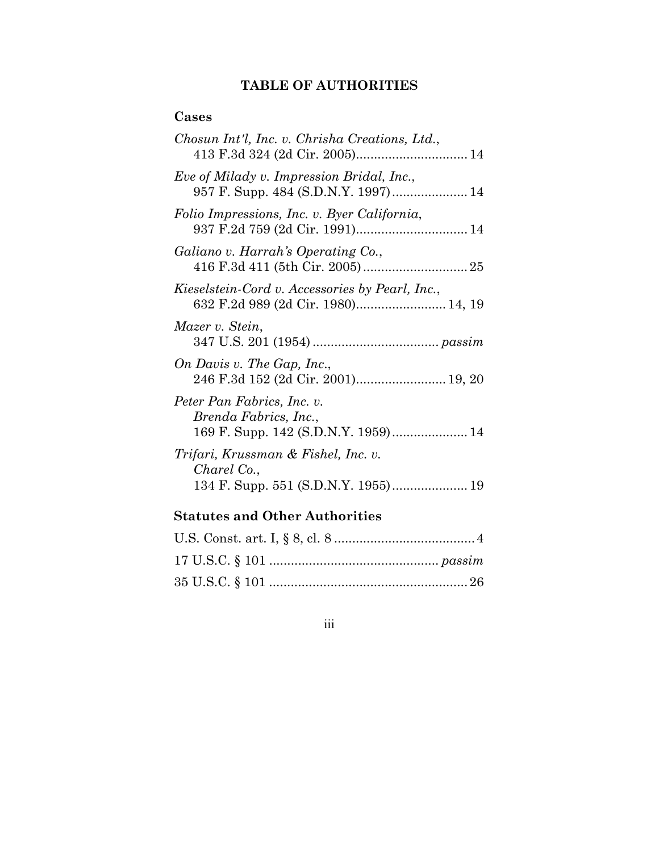## **TABLE OF AUTHORITIES**

## **Cases**

| Chosun Int'l, Inc. v. Chrisha Creations, Ltd.,                                        |
|---------------------------------------------------------------------------------------|
| Eve of Milady v. Impression Bridal, Inc.,<br>957 F. Supp. 484 (S.D.N.Y. 1997) 14      |
| Folio Impressions, Inc. v. Byer California,                                           |
| Galiano v. Harrah's Operating Co.,                                                    |
| Kieselstein-Cord v. Accessories by Pearl, Inc.,<br>632 F.2d 989 (2d Cir. 1980) 14, 19 |
| Mazer v. Stein,                                                                       |
| On Davis v. The Gap, Inc.,<br>246 F.3d 152 (2d Cir. 2001) 19, 20                      |
| Peter Pan Fabrics, Inc. v.<br>Brenda Fabrics, Inc.,                                   |
| Trifari, Krussman & Fishel, Inc. v.<br>Charel Co.,                                    |

## **Statutes and Other Authorities**

iii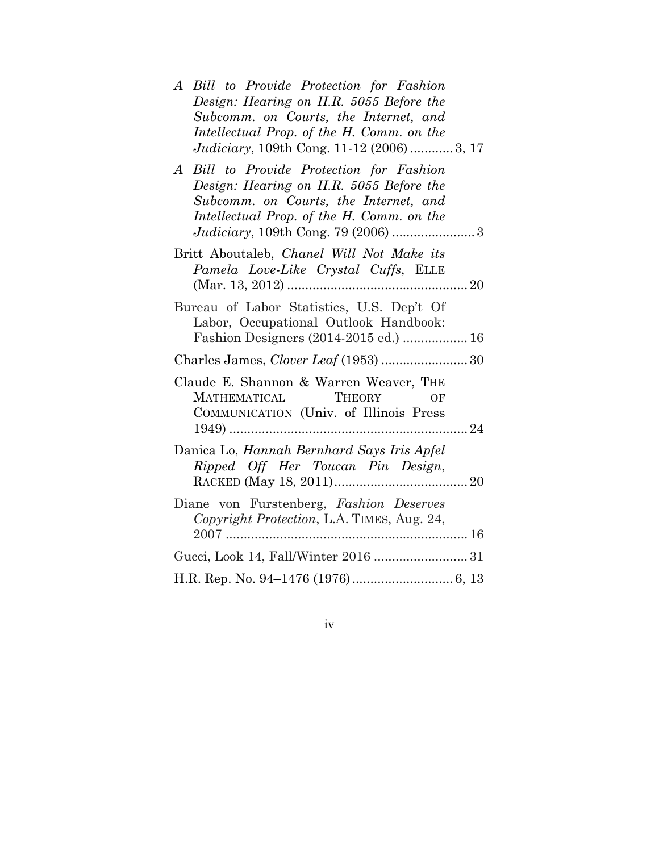| Bill to Provide Protection for Fashion<br>$\bm{A}$<br>Design: Hearing on H.R. 5055 Before the<br>Subcomm. on Courts, the Internet, and<br>Intellectual Prop. of the H. Comm. on the<br><i>Judiciary</i> , 109th Cong. 11-12 (2006)  3, 17 |
|-------------------------------------------------------------------------------------------------------------------------------------------------------------------------------------------------------------------------------------------|
| Bill to Provide Protection for Fashion<br>$\bm{A}$<br>Design: Hearing on H.R. 5055 Before the<br>Subcomm. on Courts, the Internet, and<br>Intellectual Prop. of the H. Comm. on the<br>Judiciary, 109th Cong. 79 (2006)  3                |
| Britt Aboutaleb, Chanel Will Not Make its<br>Pamela Love-Like Crystal Cuffs, ELLE                                                                                                                                                         |
| Bureau of Labor Statistics, U.S. Dep't Of<br>Labor, Occupational Outlook Handbook:<br>Fashion Designers (2014-2015 ed.)  16                                                                                                               |
| Charles James, Clover Leaf (1953)  30                                                                                                                                                                                                     |
| Claude E. Shannon & Warren Weaver, THE<br>MATHEMATICAL THEORY<br>OF<br>COMMUNICATION (Univ. of Illinois Press                                                                                                                             |
| Danica Lo, Hannah Bernhard Says Iris Apfel<br>Ripped Off Her Toucan Pin Design,                                                                                                                                                           |
| Diane von Furstenberg, Fashion Deserves<br>Copyright Protection, L.A. TIMES, Aug. 24,                                                                                                                                                     |
|                                                                                                                                                                                                                                           |
|                                                                                                                                                                                                                                           |

iv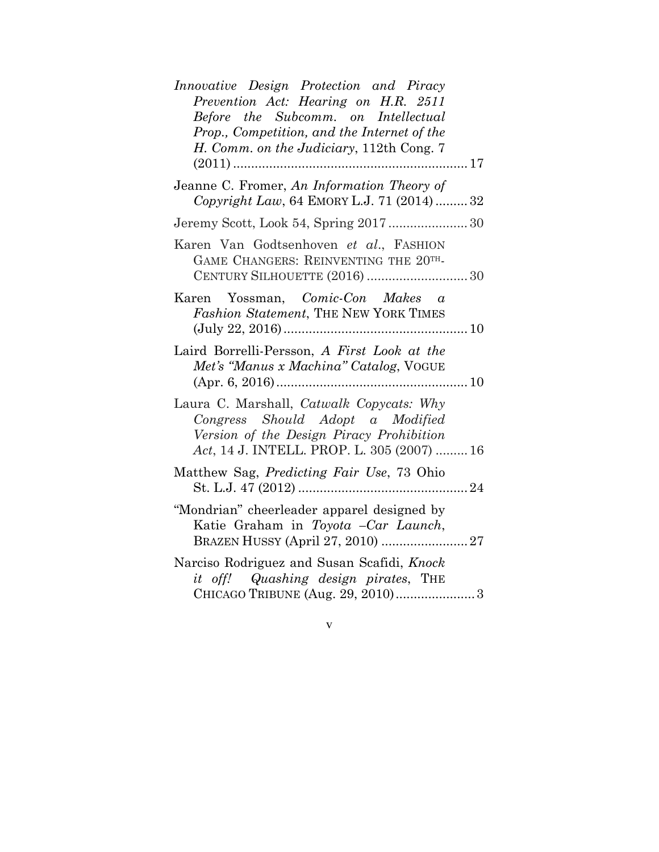| Innovative Design Protection and Piracy<br>Prevention Act: Hearing on H.R. 2511<br>Before the Subcomm. on Intellectual<br>Prop., Competition, and the Internet of the<br>H. Comm. on the Judiciary, 112th Cong. 7 |
|-------------------------------------------------------------------------------------------------------------------------------------------------------------------------------------------------------------------|
| Jeanne C. Fromer, An Information Theory of<br>Copyright Law, 64 EMORY L.J. 71 (2014)  32                                                                                                                          |
|                                                                                                                                                                                                                   |
| Karen Van Godtsenhoven et al., FASHION<br>GAME CHANGERS: REINVENTING THE 20TH-<br>CENTURY SILHOUETTE (2016)  30                                                                                                   |
| Karen Yossman, Comic-Con Makes a<br>Fashion Statement, THE NEW YORK TIMES                                                                                                                                         |
| Laird Borrelli-Persson, A First Look at the<br>Met's "Manus x Machina" Catalog, VOGUE                                                                                                                             |
| Laura C. Marshall, Catwalk Copycats: Why<br>Congress Should Adopt a Modified<br>Version of the Design Piracy Prohibition<br>Act, 14 J. INTELL. PROP. L. 305 (2007)  16                                            |
| Matthew Sag, <i>Predicting Fair Use</i> , 73 Ohio                                                                                                                                                                 |
| "Mondrian" cheerleader apparel designed by<br>Katie Graham in Toyota -Car Launch,                                                                                                                                 |
| Narciso Rodriguez and Susan Scafidi, Knock<br>it off! Quashing design pirates, THE<br>CHICAGO TRIBUNE (Aug. 29, 2010) 3                                                                                           |

v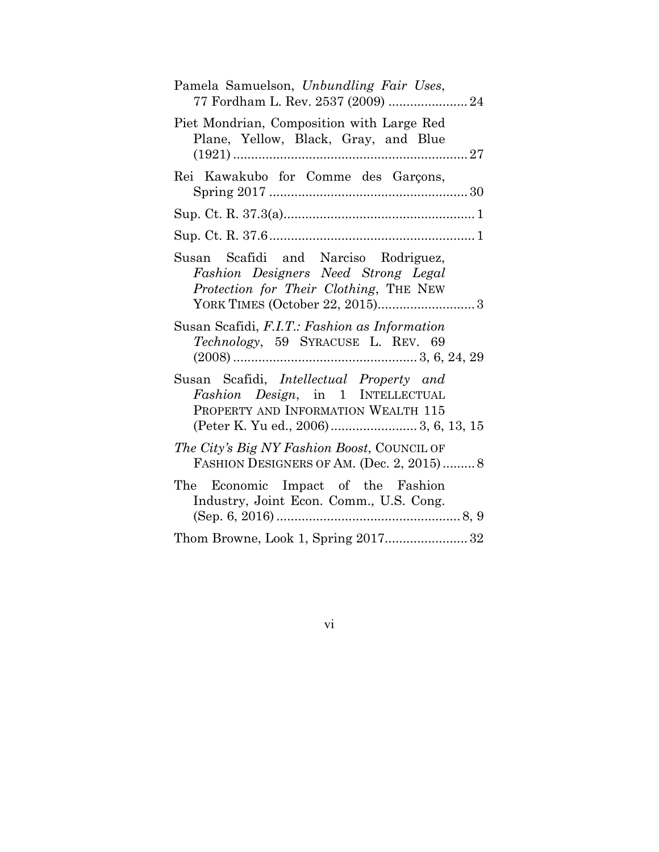| Pamela Samuelson, Unbundling Fair Uses,<br>77 Fordham L. Rev. 2537 (2009)  24                                         |
|-----------------------------------------------------------------------------------------------------------------------|
| Piet Mondrian, Composition with Large Red<br>Plane, Yellow, Black, Gray, and Blue                                     |
| Rei Kawakubo for Comme des Garçons,                                                                                   |
|                                                                                                                       |
|                                                                                                                       |
| Susan Scafidi and Narciso Rodriguez,<br>Fashion Designers Need Strong Legal<br>Protection for Their Clothing, THE NEW |
| Susan Scafidi, F.I.T.: Fashion as Information<br>Technology, 59 SYRACUSE L. REV. 69                                   |
| Susan Scafidi, Intellectual Property and<br>Fashion Design, in 1 INTELLECTUAL<br>PROPERTY AND INFORMATION WEALTH 115  |
| The City's Big NY Fashion Boost, COUNCIL OF<br>FASHION DESIGNERS OF AM. (Dec. 2, 2015)8                               |
| The Economic Impact of the Fashion<br>Industry, Joint Econ. Comm., U.S. Cong.                                         |
|                                                                                                                       |

# vi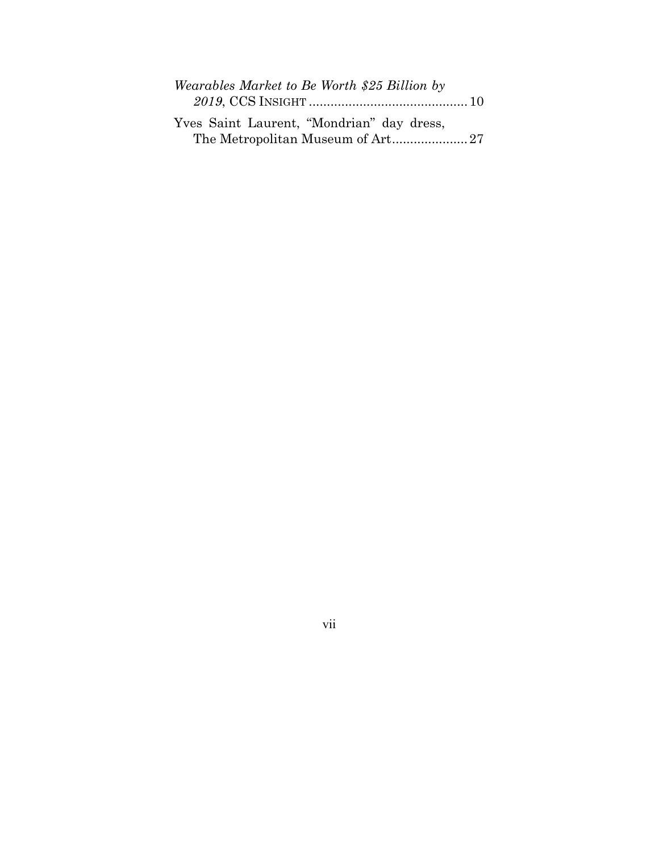| Wearables Market to Be Worth \$25 Billion by |  |  |
|----------------------------------------------|--|--|
|                                              |  |  |
| Yves Saint Laurent, "Mondrian" day dress,    |  |  |

The Metropolitan Museum of Art...................... 27

vii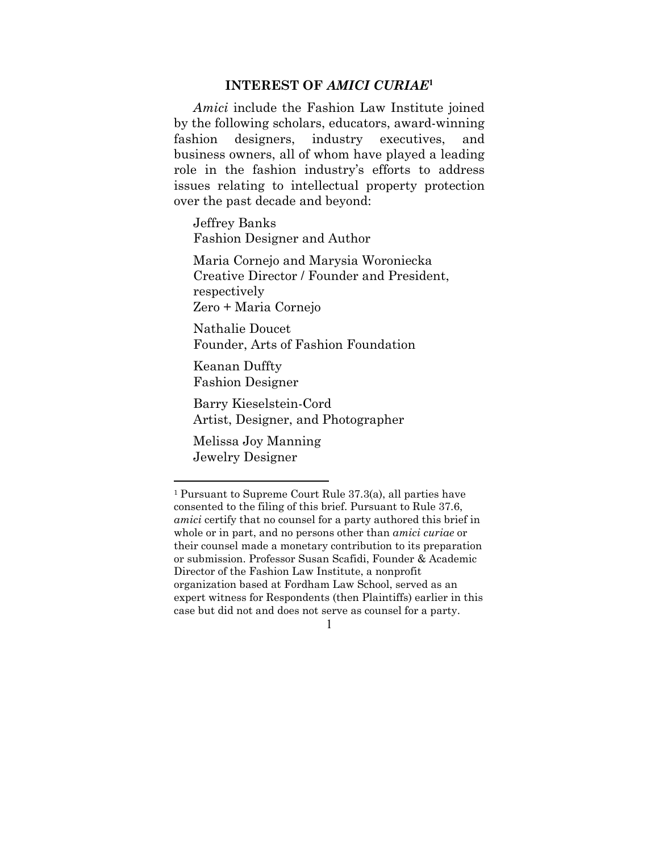#### **INTEREST OF** *AMICI CURIAE***<sup>1</sup>**

*Amici* include the Fashion Law Institute joined by the following scholars, educators, award-winning fashion designers, industry executives, and business owners, all of whom have played a leading role in the fashion industry's efforts to address issues relating to intellectual property protection over the past decade and beyond:

Jeffrey Banks Fashion Designer and Author

Maria Cornejo and Marysia Woroniecka Creative Director / Founder and President, respectively Zero + Maria Cornejo

Nathalie Doucet Founder, Arts of Fashion Foundation

Keanan Duffty Fashion Designer

Barry Kieselstein-Cord Artist, Designer, and Photographer

Melissa Joy Manning Jewelry Designer

<sup>1</sup> Pursuant to Supreme Court Rule 37.3(a), all parties have consented to the filing of this brief. Pursuant to Rule 37.6, *amici* certify that no counsel for a party authored this brief in whole or in part, and no persons other than *amici curiae* or their counsel made a monetary contribution to its preparation or submission. Professor Susan Scafidi, Founder & Academic Director of the Fashion Law Institute, a nonprofit organization based at Fordham Law School, served as an expert witness for Respondents (then Plaintiffs) earlier in this case but did not and does not serve as counsel for a party.

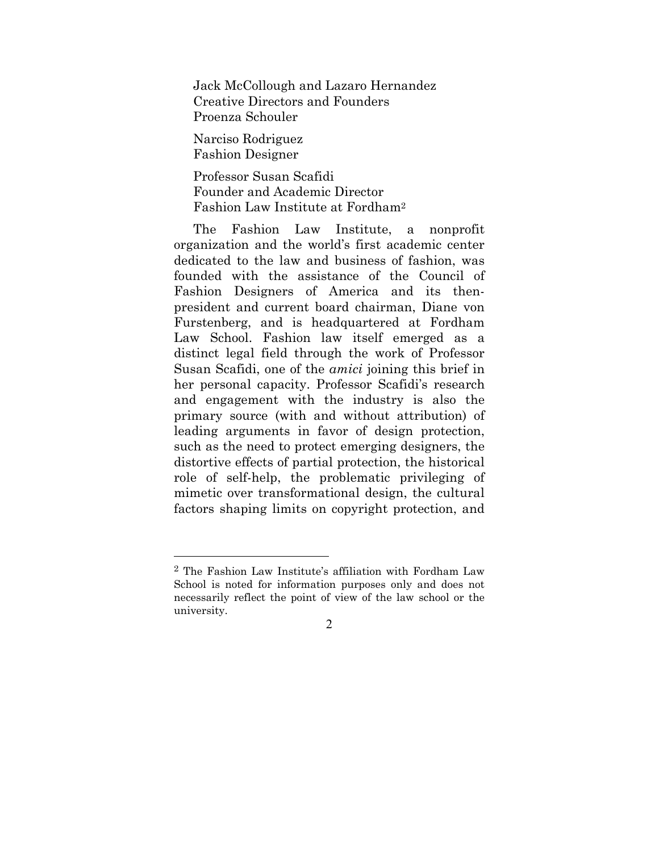Jack McCollough and Lazaro Hernandez Creative Directors and Founders Proenza Schouler

Narciso Rodriguez Fashion Designer

 $\overline{a}$ 

Professor Susan Scafidi Founder and Academic Director Fashion Law Institute at Fordham2

The Fashion Law Institute, a nonprofit organization and the world's first academic center dedicated to the law and business of fashion, was founded with the assistance of the Council of Fashion Designers of America and its thenpresident and current board chairman, Diane von Furstenberg, and is headquartered at Fordham Law School. Fashion law itself emerged as a distinct legal field through the work of Professor Susan Scafidi, one of the *amici* joining this brief in her personal capacity. Professor Scafidi's research and engagement with the industry is also the primary source (with and without attribution) of leading arguments in favor of design protection, such as the need to protect emerging designers, the distortive effects of partial protection, the historical role of self-help, the problematic privileging of mimetic over transformational design, the cultural factors shaping limits on copyright protection, and

<sup>2</sup> The Fashion Law Institute's affiliation with Fordham Law School is noted for information purposes only and does not necessarily reflect the point of view of the law school or the university.

<sup>2</sup>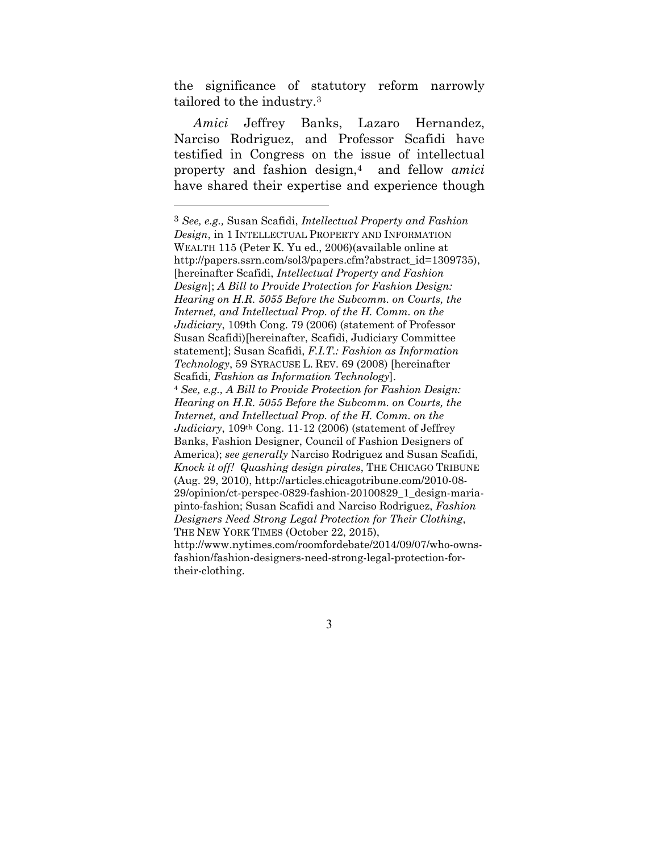the significance of statutory reform narrowly tailored to the industry.3

*Amici* Jeffrey Banks, Lazaro Hernandez, Narciso Rodriguez, and Professor Scafidi have testified in Congress on the issue of intellectual property and fashion design,4 and fellow *amici*  have shared their expertise and experience though

 $\overline{a}$ 

<sup>3</sup> *See, e.g.,* Susan Scafidi, *Intellectual Property and Fashion Design*, in 1 INTELLECTUAL PROPERTY AND INFORMATION WEALTH 115 (Peter K. Yu ed., 2006)(available online at http://papers.ssrn.com/sol3/papers.cfm?abstract\_id=1309735), [hereinafter Scafidi, *Intellectual Property and Fashion Design*]; *A Bill to Provide Protection for Fashion Design: Hearing on H.R. 5055 Before the Subcomm. on Courts, the Internet, and Intellectual Prop. of the H. Comm. on the Judiciary*, 109th Cong. 79 (2006) (statement of Professor Susan Scafidi)[hereinafter, Scafidi, Judiciary Committee statement]; Susan Scafidi, *F.I.T.: Fashion as Information Technology*, 59 SYRACUSE L. REV. 69 (2008) [hereinafter Scafidi, *Fashion as Information Technology*]. <sup>4</sup> *See, e.g., A Bill to Provide Protection for Fashion Design: Hearing on H.R. 5055 Before the Subcomm. on Courts, the Internet, and Intellectual Prop. of the H. Comm. on the Judiciary*, 109th Cong. 11-12 (2006) (statement of Jeffrey Banks, Fashion Designer, Council of Fashion Designers of America); *see generally* Narciso Rodriguez and Susan Scafidi, *Knock it off! Quashing design pirates*, THE CHICAGO TRIBUNE (Aug. 29, 2010), http://articles.chicagotribune.com/2010-08- 29/opinion/ct-perspec-0829-fashion-20100829\_1\_design-mariapinto-fashion; Susan Scafidi and Narciso Rodriguez, *Fashion Designers Need Strong Legal Protection for Their Clothing*, THE NEW YORK TIMES (October 22, 2015), http://www.nytimes.com/roomfordebate/2014/09/07/who-ownsfashion/fashion-designers-need-strong-legal-protection-fortheir-clothing.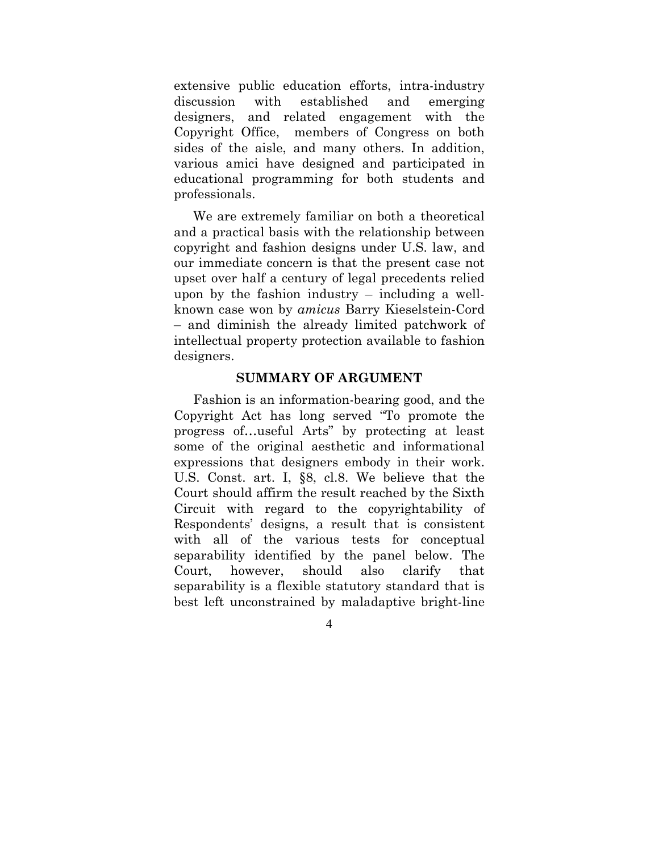extensive public education efforts, intra-industry discussion with established and emerging designers, and related engagement with the Copyright Office, members of Congress on both sides of the aisle, and many others. In addition, various amici have designed and participated in educational programming for both students and professionals.

We are extremely familiar on both a theoretical and a practical basis with the relationship between copyright and fashion designs under U.S. law, and our immediate concern is that the present case not upset over half a century of legal precedents relied upon by the fashion industry – including a wellknown case won by *amicus* Barry Kieselstein-Cord – and diminish the already limited patchwork of intellectual property protection available to fashion designers.

#### **SUMMARY OF ARGUMENT**

Fashion is an information-bearing good, and the Copyright Act has long served "To promote the progress of…useful Arts" by protecting at least some of the original aesthetic and informational expressions that designers embody in their work. U.S. Const. art. I, §8, cl.8. We believe that the Court should affirm the result reached by the Sixth Circuit with regard to the copyrightability of Respondents' designs, a result that is consistent with all of the various tests for conceptual separability identified by the panel below. The Court, however, should also clarify that separability is a flexible statutory standard that is best left unconstrained by maladaptive bright-line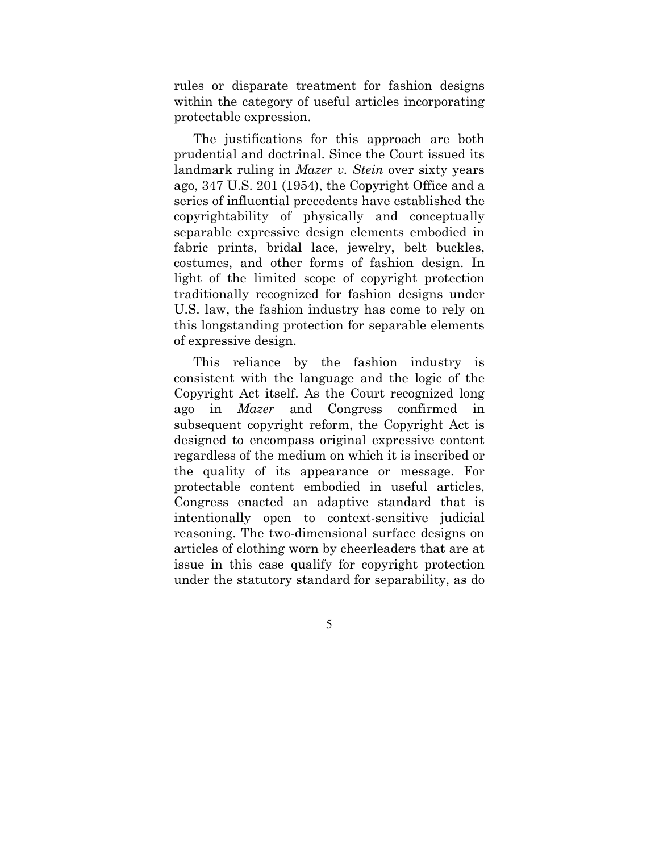rules or disparate treatment for fashion designs within the category of useful articles incorporating protectable expression.

The justifications for this approach are both prudential and doctrinal. Since the Court issued its landmark ruling in *Mazer v. Stein* over sixty years ago, 347 U.S. 201 (1954), the Copyright Office and a series of influential precedents have established the copyrightability of physically and conceptually separable expressive design elements embodied in fabric prints, bridal lace, jewelry, belt buckles, costumes, and other forms of fashion design. In light of the limited scope of copyright protection traditionally recognized for fashion designs under U.S. law, the fashion industry has come to rely on this longstanding protection for separable elements of expressive design.

This reliance by the fashion industry is consistent with the language and the logic of the Copyright Act itself. As the Court recognized long ago in *Mazer* and Congress confirmed in subsequent copyright reform, the Copyright Act is designed to encompass original expressive content regardless of the medium on which it is inscribed or the quality of its appearance or message. For protectable content embodied in useful articles, Congress enacted an adaptive standard that is intentionally open to context-sensitive judicial reasoning. The two-dimensional surface designs on articles of clothing worn by cheerleaders that are at issue in this case qualify for copyright protection under the statutory standard for separability, as do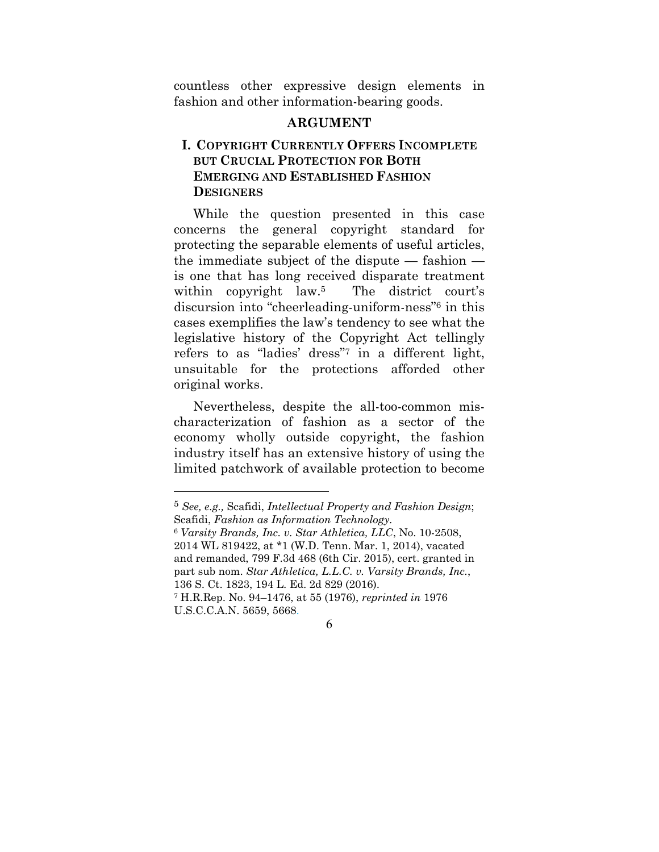countless other expressive design elements in fashion and other information-bearing goods.

#### **ARGUMENT**

## **I. COPYRIGHT CURRENTLY OFFERS INCOMPLETE BUT CRUCIAL PROTECTION FOR BOTH EMERGING AND ESTABLISHED FASHION DESIGNERS**

While the question presented in this case concerns the general copyright standard for protecting the separable elements of useful articles, the immediate subject of the dispute — fashion is one that has long received disparate treatment within copyright law.<sup>5</sup> The district court's discursion into "cheerleading-uniform-ness"6 in this cases exemplifies the law's tendency to see what the legislative history of the Copyright Act tellingly refers to as "ladies' dress"7 in a different light, unsuitable for the protections afforded other original works.

Nevertheless, despite the all-too-common mischaracterization of fashion as a sector of the economy wholly outside copyright, the fashion industry itself has an extensive history of using the limited patchwork of available protection to become

<sup>5</sup> *See, e.g.,* Scafidi, *Intellectual Property and Fashion Design*; Scafidi, *Fashion as Information Technology.*

<sup>6</sup> *Varsity Brands, Inc. v. Star Athletica, LLC*, No. 10-2508, 2014 WL 819422, at \*1 (W.D. Tenn. Mar. 1, 2014), vacated and remanded, 799 F.3d 468 (6th Cir. 2015), cert. granted in part sub nom. *Star Athletica, L.L.C. v. Varsity Brands, Inc.*, 136 S. Ct. 1823, 194 L. Ed. 2d 829 (2016).

<sup>7</sup> H.R.Rep. No. 94–1476, at 55 (1976), *reprinted in* 1976 U.S.C.C.A.N. 5659, 5668.

<sup>6</sup>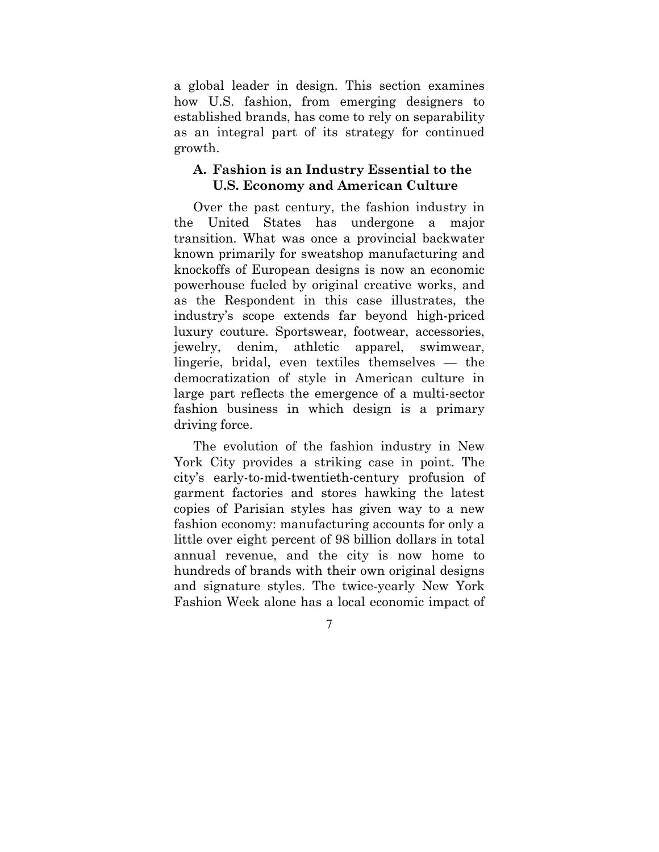a global leader in design. This section examines how U.S. fashion, from emerging designers to established brands, has come to rely on separability as an integral part of its strategy for continued growth.

#### **A. Fashion is an Industry Essential to the U.S. Economy and American Culture**

Over the past century, the fashion industry in the United States has undergone a major transition. What was once a provincial backwater known primarily for sweatshop manufacturing and knockoffs of European designs is now an economic powerhouse fueled by original creative works, and as the Respondent in this case illustrates, the industry's scope extends far beyond high-priced luxury couture. Sportswear, footwear, accessories, jewelry, denim, athletic apparel, swimwear, lingerie, bridal, even textiles themselves — the democratization of style in American culture in large part reflects the emergence of a multi-sector fashion business in which design is a primary driving force.

The evolution of the fashion industry in New York City provides a striking case in point. The city's early-to-mid-twentieth-century profusion of garment factories and stores hawking the latest copies of Parisian styles has given way to a new fashion economy: manufacturing accounts for only a little over eight percent of 98 billion dollars in total annual revenue, and the city is now home to hundreds of brands with their own original designs and signature styles. The twice-yearly New York Fashion Week alone has a local economic impact of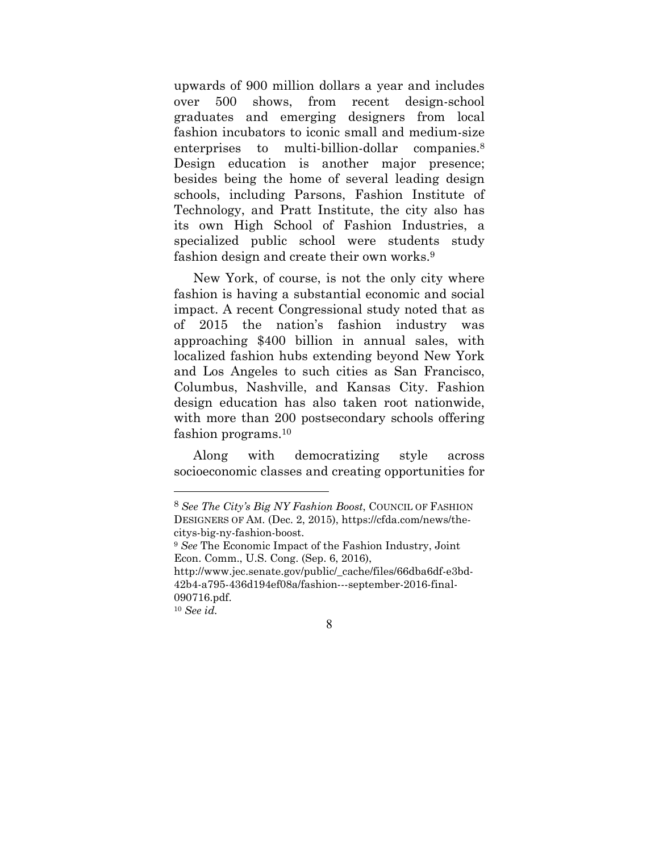upwards of 900 million dollars a year and includes over 500 shows, from recent design-school graduates and emerging designers from local fashion incubators to iconic small and medium-size enterprises to multi-billion-dollar companies.<sup>8</sup> Design education is another major presence; besides being the home of several leading design schools, including Parsons, Fashion Institute of Technology, and Pratt Institute, the city also has its own High School of Fashion Industries, a specialized public school were students study fashion design and create their own works.9

New York, of course, is not the only city where fashion is having a substantial economic and social impact. A recent Congressional study noted that as of 2015 the nation's fashion industry was approaching \$400 billion in annual sales, with localized fashion hubs extending beyond New York and Los Angeles to such cities as San Francisco, Columbus, Nashville, and Kansas City. Fashion design education has also taken root nationwide, with more than 200 postsecondary schools offering fashion programs.10

Along with democratizing style across socioeconomic classes and creating opportunities for

<sup>8</sup> *See The City's Big NY Fashion Boost*, COUNCIL OF FASHION DESIGNERS OF AM. (Dec. 2, 2015), https://cfda.com/news/thecitys-big-ny-fashion-boost.

<sup>9</sup> *See* The Economic Impact of the Fashion Industry, Joint Econ. Comm., U.S. Cong. (Sep. 6, 2016),

http://www.jec.senate.gov/public/\_cache/files/66dba6df-e3bd-42b4-a795-436d194ef08a/fashion---september-2016-final-090716.pdf.

<sup>10</sup> *See id.*

<sup>8</sup>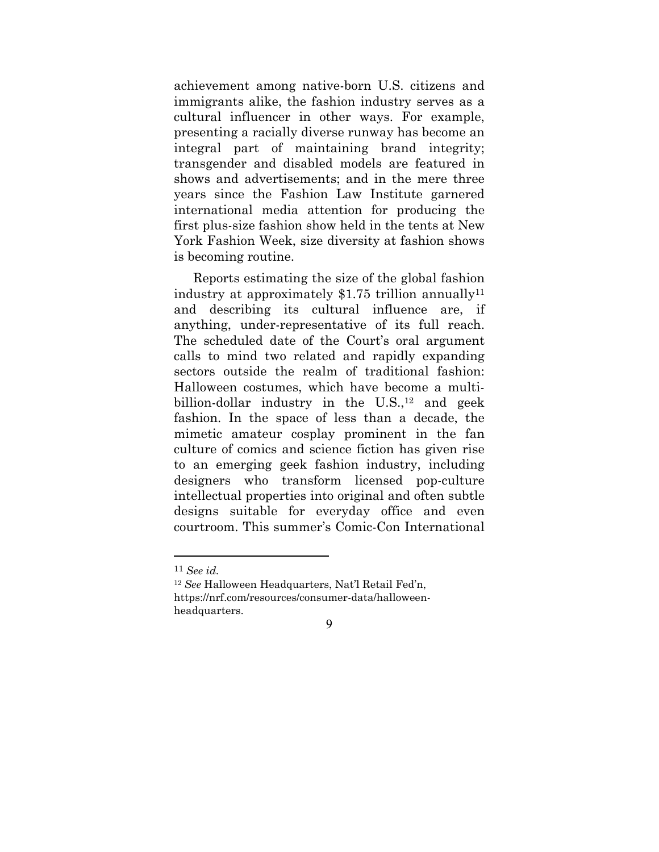achievement among native-born U.S. citizens and immigrants alike, the fashion industry serves as a cultural influencer in other ways. For example, presenting a racially diverse runway has become an integral part of maintaining brand integrity; transgender and disabled models are featured in shows and advertisements; and in the mere three years since the Fashion Law Institute garnered international media attention for producing the first plus-size fashion show held in the tents at New York Fashion Week, size diversity at fashion shows is becoming routine.

Reports estimating the size of the global fashion industry at approximately  $$1.75$  trillion annually<sup>11</sup> and describing its cultural influence are, if anything, under-representative of its full reach. The scheduled date of the Court's oral argument calls to mind two related and rapidly expanding sectors outside the realm of traditional fashion: Halloween costumes, which have become a multibillion-dollar industry in the  $U.S.,<sup>12</sup>$  and geek fashion. In the space of less than a decade, the mimetic amateur cosplay prominent in the fan culture of comics and science fiction has given rise to an emerging geek fashion industry, including designers who transform licensed pop-culture intellectual properties into original and often subtle designs suitable for everyday office and even courtroom. This summer's Comic-Con International

<sup>11</sup> *See id.*

<sup>12</sup> *See* Halloween Headquarters, Nat'l Retail Fed'n, https://nrf.com/resources/consumer-data/halloweenheadquarters.

<sup>9</sup>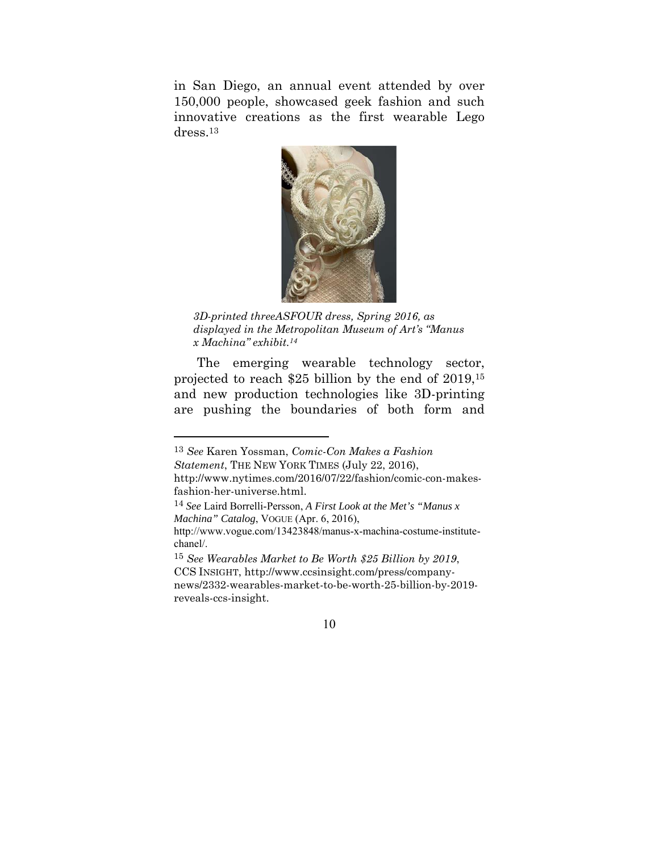in San Diego, an annual event attended by over 150,000 people, showcased geek fashion and such innovative creations as the first wearable Lego dress.13



*3D-printed threeASFOUR dress, Spring 2016, as displayed in the Metropolitan Museum of Art's "Manus x Machina" exhibit.14* 

 The emerging wearable technology sector, projected to reach \$25 billion by the end of 2019,15 and new production technologies like 3D-printing are pushing the boundaries of both form and

<sup>13</sup> *See* Karen Yossman, *Comic-Con Makes a Fashion Statement*, THE NEW YORK TIMES (July 22, 2016), http://www.nytimes.com/2016/07/22/fashion/comic-con-makes-

fashion-her-universe.html.

<sup>14</sup> *See* Laird Borrelli-Persson, *A First Look at the Met's "Manus x Machina" Catalog*, VOGUE (Apr. 6, 2016),

http://www.vogue.com/13423848/manus-x-machina-costume-institutechanel/.

<sup>15</sup> *See Wearables Market to Be Worth \$25 Billion by 2019*, CCS INSIGHT, http://www.ccsinsight.com/press/companynews/2332-wearables-market-to-be-worth-25-billion-by-2019 reveals-ccs-insight.

<sup>10</sup>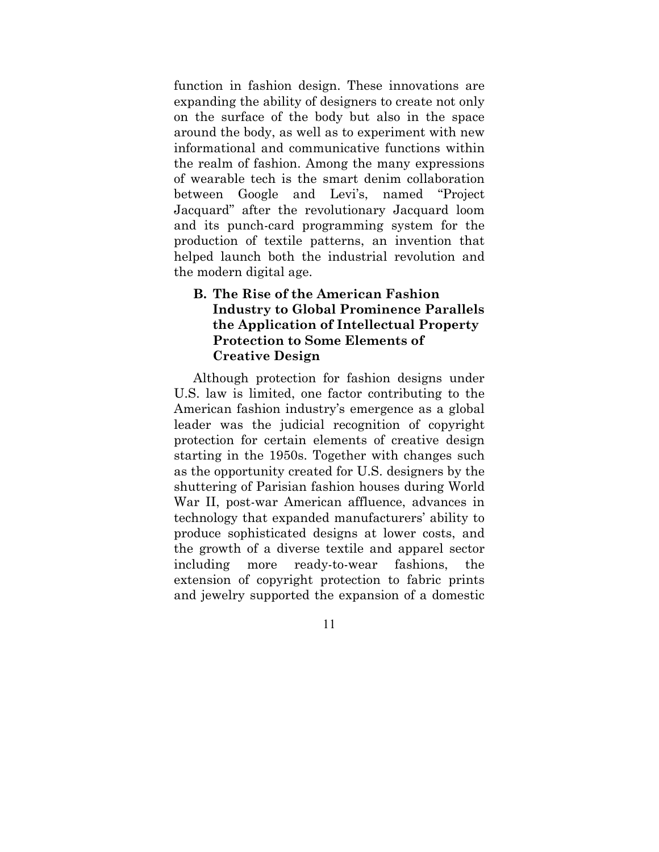function in fashion design. These innovations are expanding the ability of designers to create not only on the surface of the body but also in the space around the body, as well as to experiment with new informational and communicative functions within the realm of fashion. Among the many expressions of wearable tech is the smart denim collaboration between Google and Levi's, named "Project Jacquard" after the revolutionary Jacquard loom and its punch-card programming system for the production of textile patterns, an invention that helped launch both the industrial revolution and the modern digital age.

## **B. The Rise of the American Fashion Industry to Global Prominence Parallels the Application of Intellectual Property Protection to Some Elements of Creative Design**

Although protection for fashion designs under U.S. law is limited, one factor contributing to the American fashion industry's emergence as a global leader was the judicial recognition of copyright protection for certain elements of creative design starting in the 1950s. Together with changes such as the opportunity created for U.S. designers by the shuttering of Parisian fashion houses during World War II, post-war American affluence, advances in technology that expanded manufacturers' ability to produce sophisticated designs at lower costs, and the growth of a diverse textile and apparel sector including more ready-to-wear fashions, the extension of copyright protection to fabric prints and jewelry supported the expansion of a domestic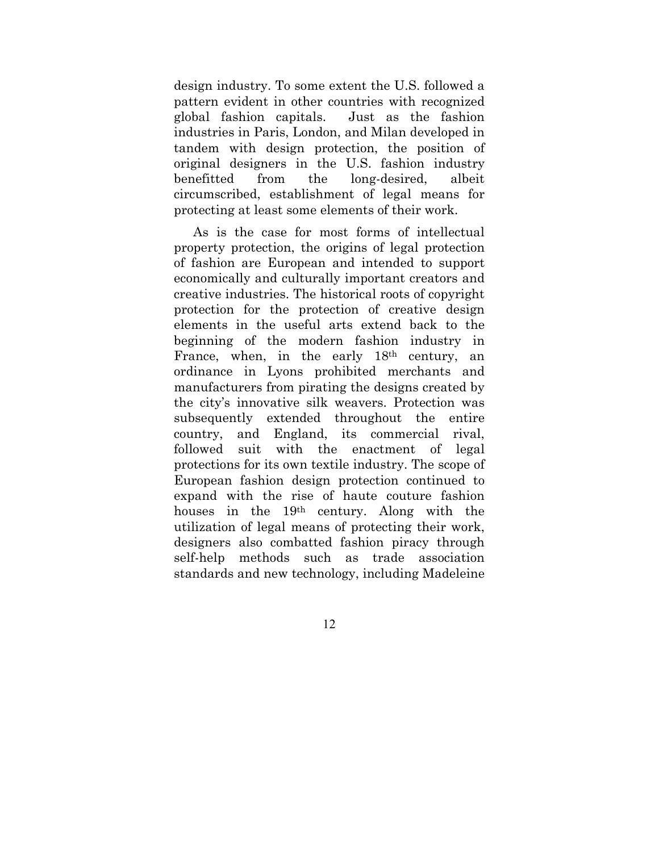design industry. To some extent the U.S. followed a pattern evident in other countries with recognized global fashion capitals. Just as the fashion industries in Paris, London, and Milan developed in tandem with design protection, the position of original designers in the U.S. fashion industry benefitted from the long-desired, albeit circumscribed, establishment of legal means for protecting at least some elements of their work.

As is the case for most forms of intellectual property protection, the origins of legal protection of fashion are European and intended to support economically and culturally important creators and creative industries. The historical roots of copyright protection for the protection of creative design elements in the useful arts extend back to the beginning of the modern fashion industry in France, when, in the early  $18<sup>th</sup>$  century, an ordinance in Lyons prohibited merchants and manufacturers from pirating the designs created by the city's innovative silk weavers. Protection was subsequently extended throughout the entire country, and England, its commercial rival, followed suit with the enactment of legal protections for its own textile industry. The scope of European fashion design protection continued to expand with the rise of haute couture fashion houses in the 19th century. Along with the utilization of legal means of protecting their work, designers also combatted fashion piracy through self-help methods such as trade association standards and new technology, including Madeleine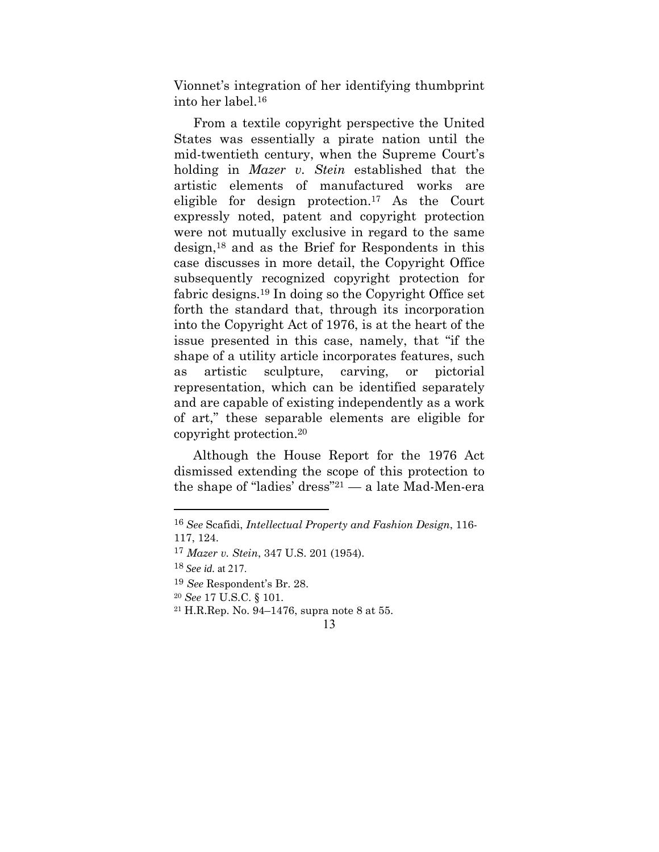Vionnet's integration of her identifying thumbprint into her label.16

From a textile copyright perspective the United States was essentially a pirate nation until the mid-twentieth century, when the Supreme Court's holding in *Mazer v. Stein* established that the artistic elements of manufactured works are eligible for design protection.17 As the Court expressly noted, patent and copyright protection were not mutually exclusive in regard to the same design,18 and as the Brief for Respondents in this case discusses in more detail, the Copyright Office subsequently recognized copyright protection for fabric designs.19 In doing so the Copyright Office set forth the standard that, through its incorporation into the Copyright Act of 1976, is at the heart of the issue presented in this case, namely, that "if the shape of a utility article incorporates features, such as artistic sculpture, carving, or pictorial representation, which can be identified separately and are capable of existing independently as a work of art," these separable elements are eligible for copyright protection.20

Although the House Report for the 1976 Act dismissed extending the scope of this protection to the shape of "ladies' dress"21 — a late Mad-Men-era

<sup>16</sup> *See* Scafidi, *Intellectual Property and Fashion Design*, 116- 117, 124.

<sup>17</sup> *Mazer v. Stein*, 347 U.S. 201 (1954).

<sup>18</sup> *See id.* at 217.

<sup>19</sup> *See* Respondent's Br. 28.

<sup>20</sup> *See* 17 U.S.C. § 101.

<sup>21</sup> H.R.Rep. No. 94–1476, supra note 8 at 55.

<sup>13</sup>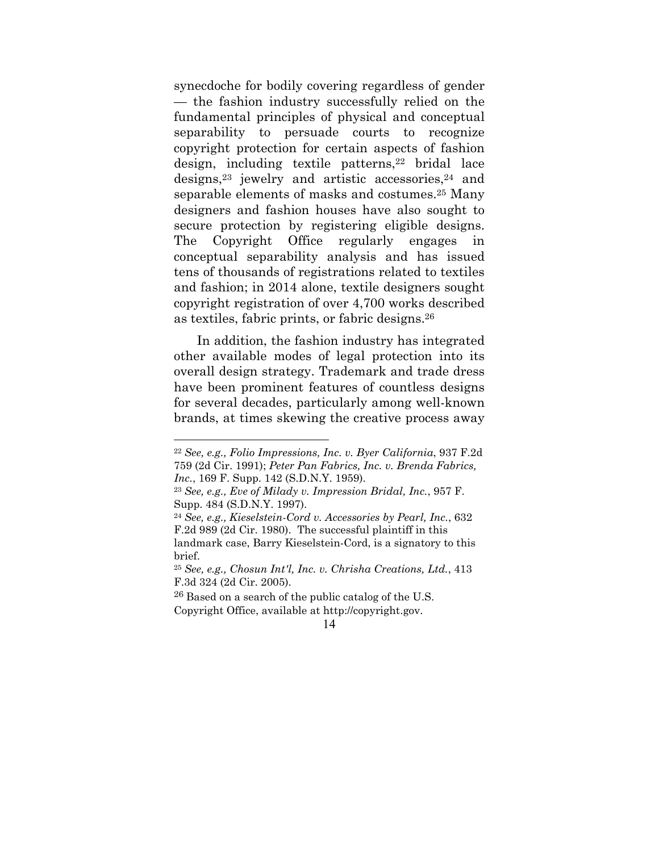synecdoche for bodily covering regardless of gender — the fashion industry successfully relied on the fundamental principles of physical and conceptual separability to persuade courts to recognize copyright protection for certain aspects of fashion design, including textile patterns, $22$  bridal lace designs,  $23$  jewelry and artistic accessories,  $24$  and separable elements of masks and costumes.25 Many designers and fashion houses have also sought to secure protection by registering eligible designs. The Copyright Office regularly engages conceptual separability analysis and has issued tens of thousands of registrations related to textiles and fashion; in 2014 alone, textile designers sought copyright registration of over 4,700 works described as textiles, fabric prints, or fabric designs.26

 In addition, the fashion industry has integrated other available modes of legal protection into its overall design strategy. Trademark and trade dress have been prominent features of countless designs for several decades, particularly among well-known brands, at times skewing the creative process away

<sup>22</sup> *See, e.g., Folio Impressions, Inc. v. Byer California*, 937 F.2d 759 (2d Cir. 1991); *Peter Pan Fabrics, Inc. v. Brenda Fabrics, Inc.*, 169 F. Supp. 142 (S.D.N.Y. 1959).

<sup>23</sup> *See, e.g., Eve of Milady v. Impression Bridal, Inc.*, 957 F. Supp. 484 (S.D.N.Y. 1997).

<sup>24</sup> *See, e.g., Kieselstein-Cord v. Accessories by Pearl, Inc.*, 632 F.2d 989 (2d Cir. 1980). The successful plaintiff in this landmark case, Barry Kieselstein-Cord, is a signatory to this brief.

<sup>25</sup> *See, e.g., Chosun Int'l, Inc. v. Chrisha Creations, Ltd.*, 413 F.3d 324 (2d Cir. 2005).

<sup>26</sup> Based on a search of the public catalog of the U.S. Copyright Office, available at http://copyright.gov.

<sup>14</sup>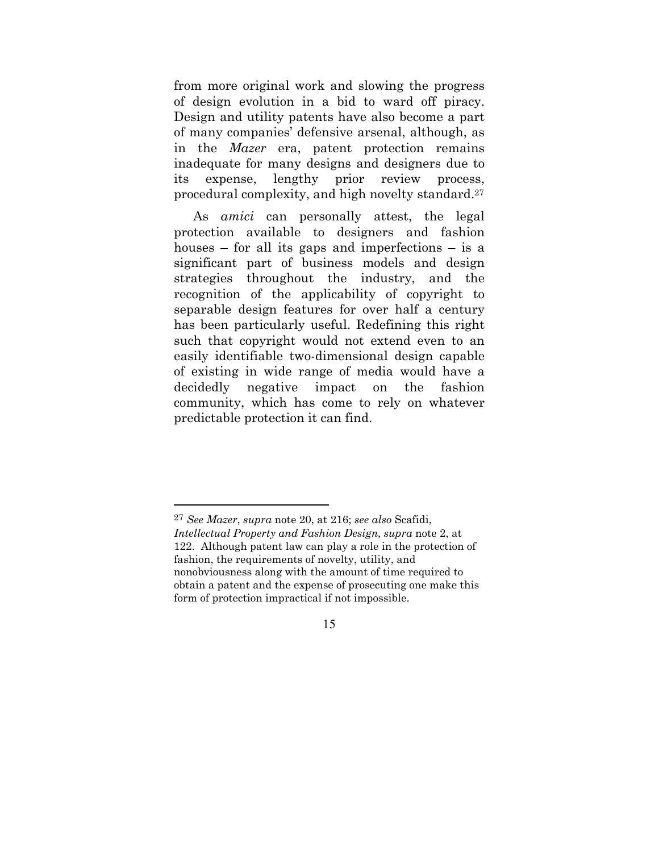from more original work and slowing the progress of design evolution in a bid to ward off piracy. Design and utility patents have also become a part of many companies' defensive arsenal, although, as in the *Mazer* era, patent protection remains inadequate for many designs and designers due to its expense, lengthy prior review process, procedural complexity, and high novelty standard.27

As *amici* can personally attest, the legal protection available to designers and fashion houses – for all its gaps and imperfections – is a significant part of business models and design strategies throughout the industry, and the recognition of the applicability of copyright to separable design features for over half a century has been particularly useful. Redefining this right such that copyright would not extend even to an easily identifiable two-dimensional design capable of existing in wide range of media would have a decidedly negative impact on the fashion community, which has come to rely on whatever predictable protection it can find.

 $\overline{a}$ 

<sup>27</sup> *See Mazer*, *supra* note 20, at 216; *see also* Scafidi, *Intellectual Property and Fashion Design*, *supra* note 2, at 122. Although patent law can play a role in the protection of fashion, the requirements of novelty, utility, and nonobviousness along with the amount of time required to obtain a patent and the expense of prosecuting one make this form of protection impractical if not impossible.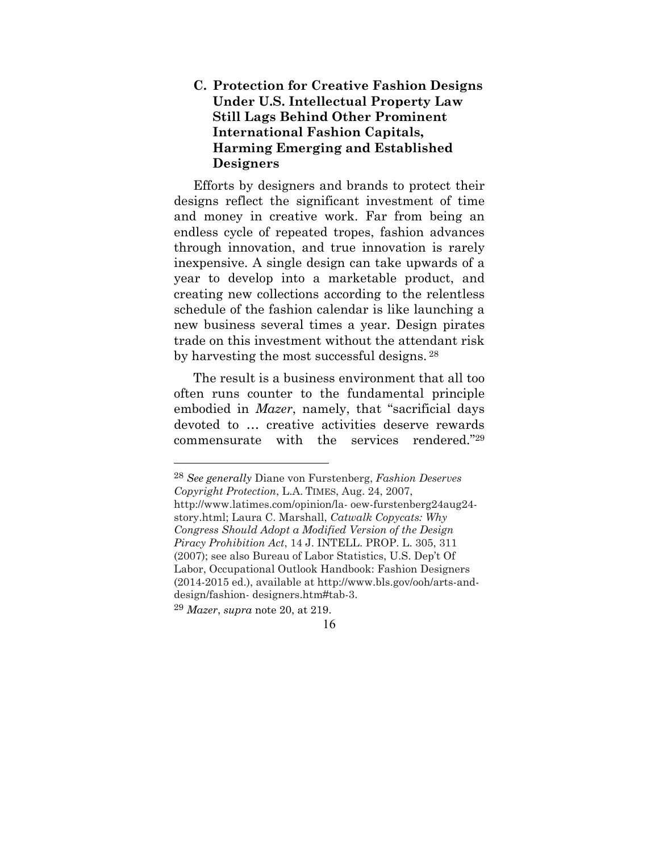### **C. Protection for Creative Fashion Designs Under U.S. Intellectual Property Law Still Lags Behind Other Prominent International Fashion Capitals, Harming Emerging and Established Designers**

Efforts by designers and brands to protect their designs reflect the significant investment of time and money in creative work. Far from being an endless cycle of repeated tropes, fashion advances through innovation, and true innovation is rarely inexpensive. A single design can take upwards of a year to develop into a marketable product, and creating new collections according to the relentless schedule of the fashion calendar is like launching a new business several times a year. Design pirates trade on this investment without the attendant risk by harvesting the most successful designs. 28

The result is a business environment that all too often runs counter to the fundamental principle embodied in *Mazer*, namely, that "sacrificial days devoted to … creative activities deserve rewards commensurate with the services rendered."29

28 *See generally* Diane von Furstenberg, *Fashion Deserves Copyright Protection*, L.A. TIMES, Aug. 24, 2007, http://www.latimes.com/opinion/la- oew-furstenberg24aug24 story.html; Laura C. Marshall, *Catwalk Copycats: Why Congress Should Adopt a Modified Version of the Design Piracy Prohibition Act*, 14 J. INTELL. PROP. L. 305, 311 (2007); see also Bureau of Labor Statistics, U.S. Dep't Of Labor, Occupational Outlook Handbook: Fashion Designers (2014-2015 ed.), available at http://www.bls.gov/ooh/arts-anddesign/fashion- designers.htm#tab-3.

29 *Mazer*, *supra* note 20, at 219.

<sup>16</sup>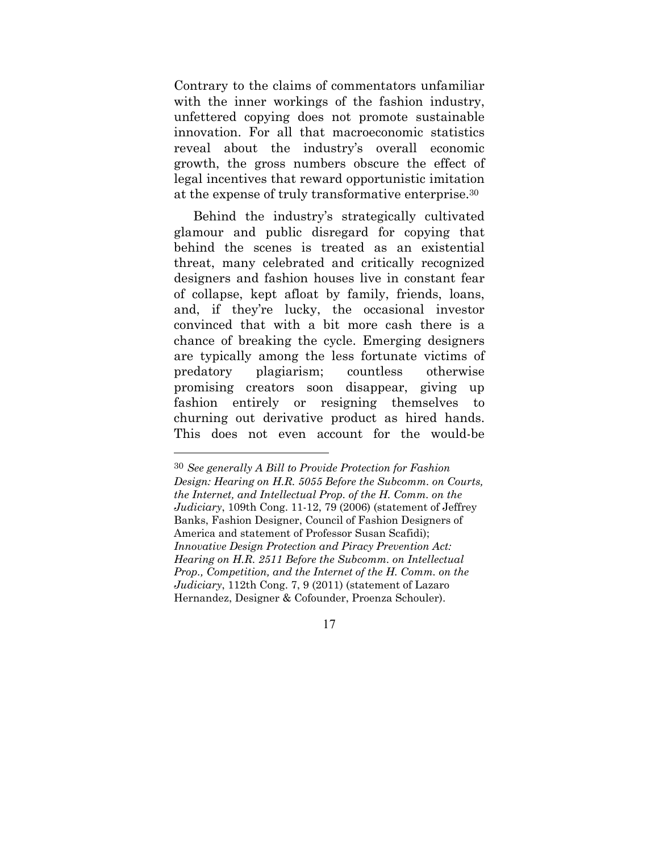Contrary to the claims of commentators unfamiliar with the inner workings of the fashion industry, unfettered copying does not promote sustainable innovation. For all that macroeconomic statistics reveal about the industry's overall economic growth, the gross numbers obscure the effect of legal incentives that reward opportunistic imitation at the expense of truly transformative enterprise.30

Behind the industry's strategically cultivated glamour and public disregard for copying that behind the scenes is treated as an existential threat, many celebrated and critically recognized designers and fashion houses live in constant fear of collapse, kept afloat by family, friends, loans, and, if they're lucky, the occasional investor convinced that with a bit more cash there is a chance of breaking the cycle. Emerging designers are typically among the less fortunate victims of predatory plagiarism; countless otherwise promising creators soon disappear, giving up fashion entirely or resigning themselves to churning out derivative product as hired hands. This does not even account for the would-be

 $\overline{a}$ 

<sup>30</sup> *See generally A Bill to Provide Protection for Fashion Design: Hearing on H.R. 5055 Before the Subcomm. on Courts, the Internet, and Intellectual Prop. of the H. Comm. on the Judiciary*, 109th Cong. 11-12, 79 (2006) (statement of Jeffrey Banks, Fashion Designer, Council of Fashion Designers of America and statement of Professor Susan Scafidi); *Innovative Design Protection and Piracy Prevention Act: Hearing on H.R. 2511 Before the Subcomm. on Intellectual Prop., Competition, and the Internet of the H. Comm. on the Judiciary*, 112th Cong. 7, 9 (2011) (statement of Lazaro Hernandez, Designer & Cofounder, Proenza Schouler).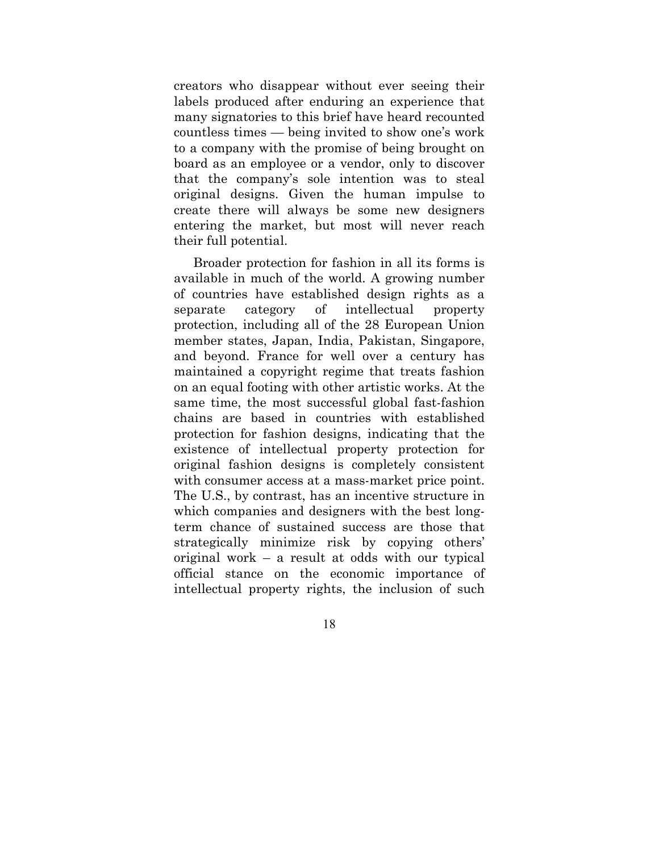creators who disappear without ever seeing their labels produced after enduring an experience that many signatories to this brief have heard recounted countless times — being invited to show one's work to a company with the promise of being brought on board as an employee or a vendor, only to discover that the company's sole intention was to steal original designs. Given the human impulse to create there will always be some new designers entering the market, but most will never reach their full potential.

Broader protection for fashion in all its forms is available in much of the world. A growing number of countries have established design rights as a separate category of intellectual property protection, including all of the 28 European Union member states, Japan, India, Pakistan, Singapore, and beyond. France for well over a century has maintained a copyright regime that treats fashion on an equal footing with other artistic works. At the same time, the most successful global fast-fashion chains are based in countries with established protection for fashion designs, indicating that the existence of intellectual property protection for original fashion designs is completely consistent with consumer access at a mass-market price point. The U.S., by contrast, has an incentive structure in which companies and designers with the best longterm chance of sustained success are those that strategically minimize risk by copying others' original work – a result at odds with our typical official stance on the economic importance of intellectual property rights, the inclusion of such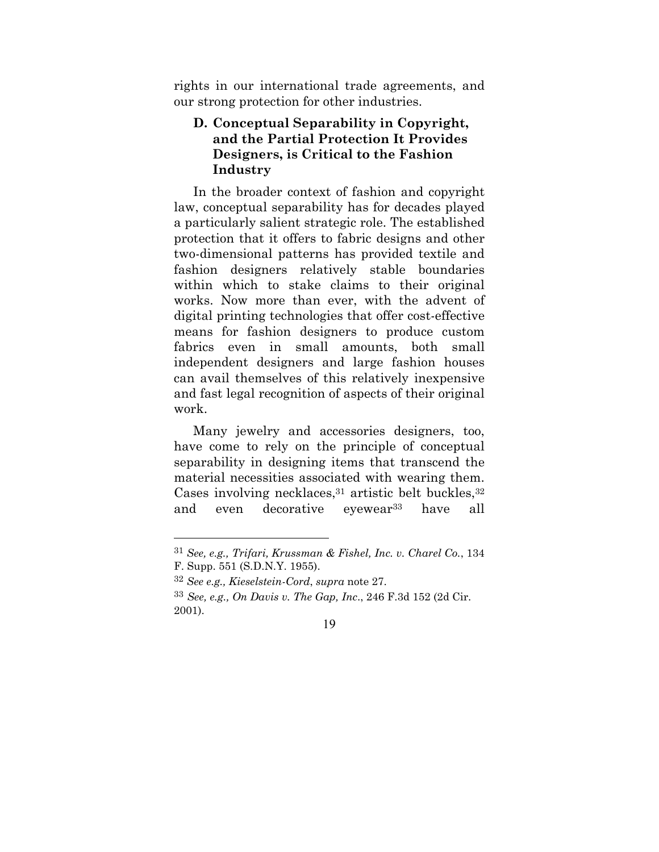rights in our international trade agreements, and our strong protection for other industries.

### **D. Conceptual Separability in Copyright, and the Partial Protection It Provides Designers, is Critical to the Fashion Industry**

In the broader context of fashion and copyright law, conceptual separability has for decades played a particularly salient strategic role. The established protection that it offers to fabric designs and other two-dimensional patterns has provided textile and fashion designers relatively stable boundaries within which to stake claims to their original works. Now more than ever, with the advent of digital printing technologies that offer cost-effective means for fashion designers to produce custom fabrics even in small amounts, both small independent designers and large fashion houses can avail themselves of this relatively inexpensive and fast legal recognition of aspects of their original work.

Many jewelry and accessories designers, too, have come to rely on the principle of conceptual separability in designing items that transcend the material necessities associated with wearing them. Cases involving necklaces,  $31$  artistic belt buckles,  $32$ and even decorative eyewear<sup>33</sup> have all

<sup>31</sup> *See, e.g., Trifari, Krussman & Fishel, Inc. v. Charel Co.*, 134 F. Supp. 551 (S.D.N.Y. 1955).

<sup>32</sup> *See e.g., Kieselstein-Cord*, *supra* note 27.

<sup>33</sup> *See, e.g., On Davis v. The Gap, Inc*., 246 F.3d 152 (2d Cir. 2001).

<sup>19</sup>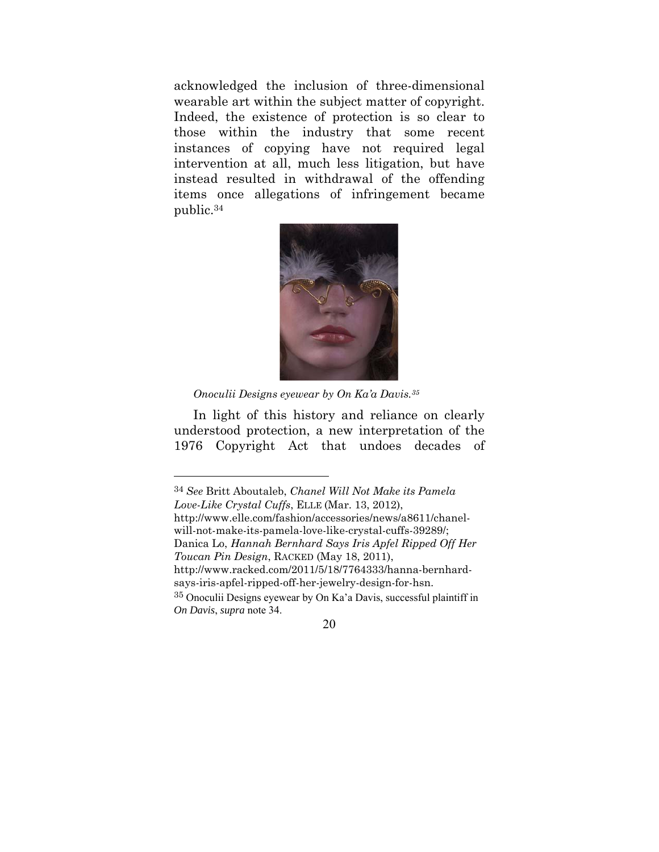acknowledged the inclusion of three-dimensional wearable art within the subject matter of copyright. Indeed, the existence of protection is so clear to those within the industry that some recent instances of copying have not required legal intervention at all, much less litigation, but have instead resulted in withdrawal of the offending items once allegations of infringement became public.34



*Onoculii Designs eyewear by On Ka'a Davis.35*

 $\overline{a}$ 

In light of this history and reliance on clearly understood protection, a new interpretation of the 1976 Copyright Act that undoes decades of

34 *See* Britt Aboutaleb, *Chanel Will Not Make its Pamela Love-Like Crystal Cuffs*, ELLE (Mar. 13, 2012), http://www.elle.com/fashion/accessories/news/a8611/chanelwill-not-make-its-pamela-love-like-crystal-cuffs-39289/; Danica Lo, *Hannah Bernhard Says Iris Apfel Ripped Off Her Toucan Pin Design*, RACKED (May 18, 2011), http://www.racked.com/2011/5/18/7764333/hanna-bernhardsays-iris-apfel-ripped-off-her-jewelry-design-for-hsn. <sup>35</sup> Onoculii Designs eyewear by On Ka'a Davis, successful plaintiff in *On Davis*, *supra* note 34.

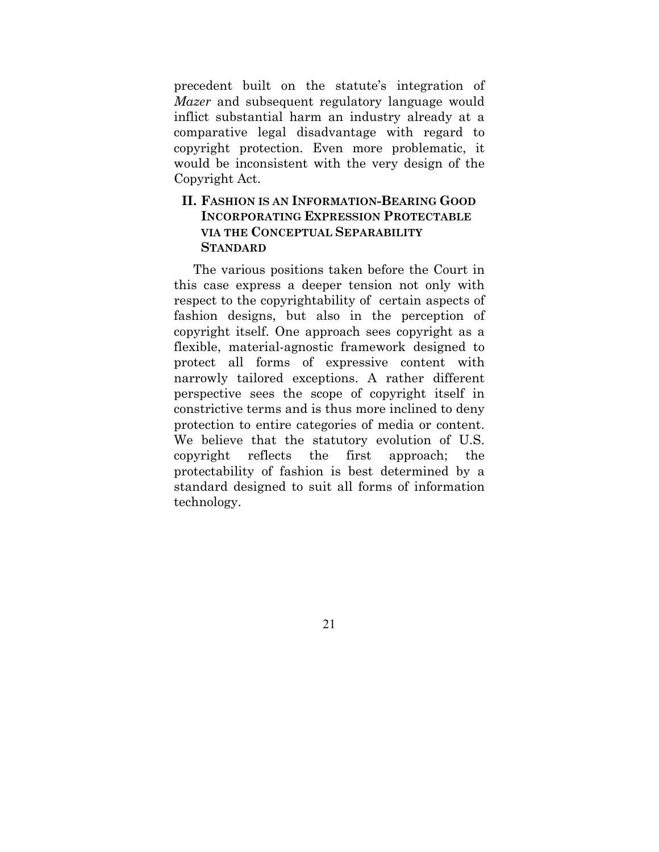precedent built on the statute's integration of *Mazer* and subsequent regulatory language would inflict substantial harm an industry already at a comparative legal disadvantage with regard to copyright protection. Even more problematic, it would be inconsistent with the very design of the Copyright Act.

#### **II. FASHION IS AN INFORMATION-BEARING GOOD INCORPORATING EXPRESSION PROTECTABLE VIA THE CONCEPTUAL SEPARABILITY STANDARD**

The various positions taken before the Court in this case express a deeper tension not only with respect to the copyrightability of certain aspects of fashion designs, but also in the perception of copyright itself. One approach sees copyright as a flexible, material-agnostic framework designed to protect all forms of expressive content with narrowly tailored exceptions. A rather different perspective sees the scope of copyright itself in constrictive terms and is thus more inclined to deny protection to entire categories of media or content. We believe that the statutory evolution of U.S. copyright reflects the first approach; the protectability of fashion is best determined by a standard designed to suit all forms of information technology.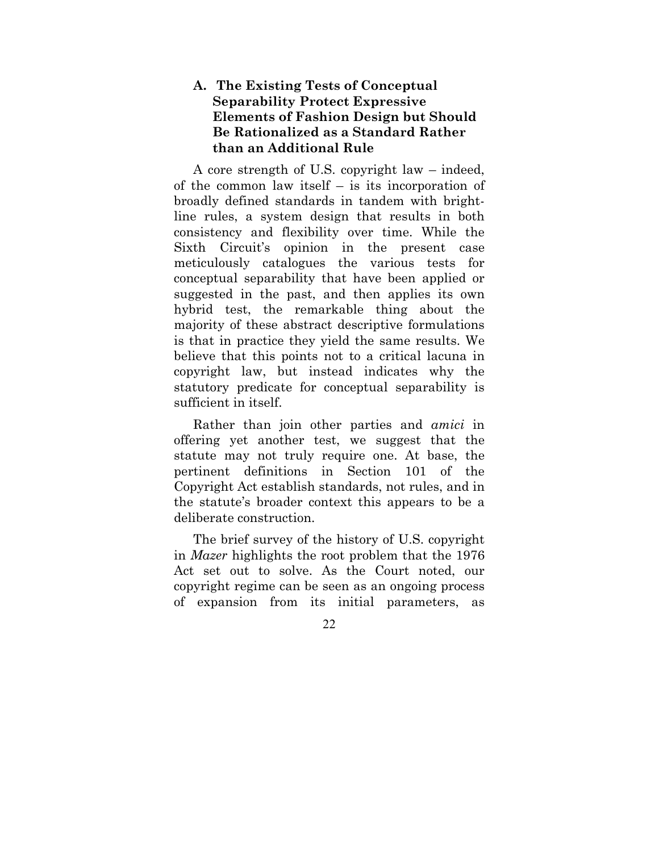### **A. The Existing Tests of Conceptual Separability Protect Expressive Elements of Fashion Design but Should Be Rationalized as a Standard Rather than an Additional Rule**

A core strength of U.S. copyright law – indeed, of the common law itself – is its incorporation of broadly defined standards in tandem with brightline rules, a system design that results in both consistency and flexibility over time. While the Sixth Circuit's opinion in the present case meticulously catalogues the various tests for conceptual separability that have been applied or suggested in the past, and then applies its own hybrid test, the remarkable thing about the majority of these abstract descriptive formulations is that in practice they yield the same results. We believe that this points not to a critical lacuna in copyright law, but instead indicates why the statutory predicate for conceptual separability is sufficient in itself.

Rather than join other parties and *amici* in offering yet another test, we suggest that the statute may not truly require one. At base, the pertinent definitions in Section 101 of the Copyright Act establish standards, not rules, and in the statute's broader context this appears to be a deliberate construction.

The brief survey of the history of U.S. copyright in *Mazer* highlights the root problem that the 1976 Act set out to solve. As the Court noted, our copyright regime can be seen as an ongoing process of expansion from its initial parameters, as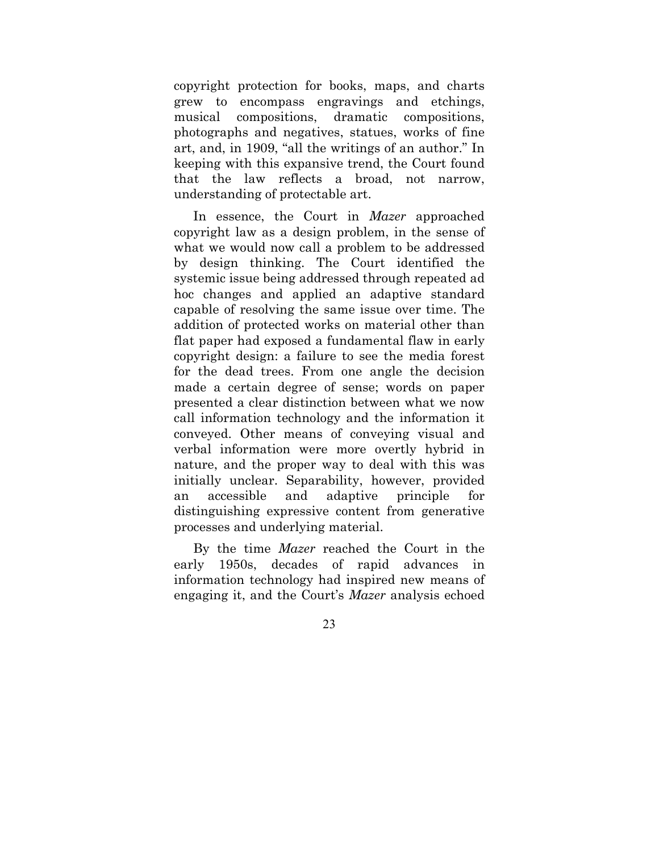copyright protection for books, maps, and charts grew to encompass engravings and etchings, musical compositions, dramatic compositions, photographs and negatives, statues, works of fine art, and, in 1909, "all the writings of an author." In keeping with this expansive trend, the Court found that the law reflects a broad, not narrow, understanding of protectable art.

In essence, the Court in *Mazer* approached copyright law as a design problem, in the sense of what we would now call a problem to be addressed by design thinking. The Court identified the systemic issue being addressed through repeated ad hoc changes and applied an adaptive standard capable of resolving the same issue over time. The addition of protected works on material other than flat paper had exposed a fundamental flaw in early copyright design: a failure to see the media forest for the dead trees. From one angle the decision made a certain degree of sense; words on paper presented a clear distinction between what we now call information technology and the information it conveyed. Other means of conveying visual and verbal information were more overtly hybrid in nature, and the proper way to deal with this was initially unclear. Separability, however, provided an accessible and adaptive principle for distinguishing expressive content from generative processes and underlying material.

By the time *Mazer* reached the Court in the early 1950s, decades of rapid advances in information technology had inspired new means of engaging it, and the Court's *Mazer* analysis echoed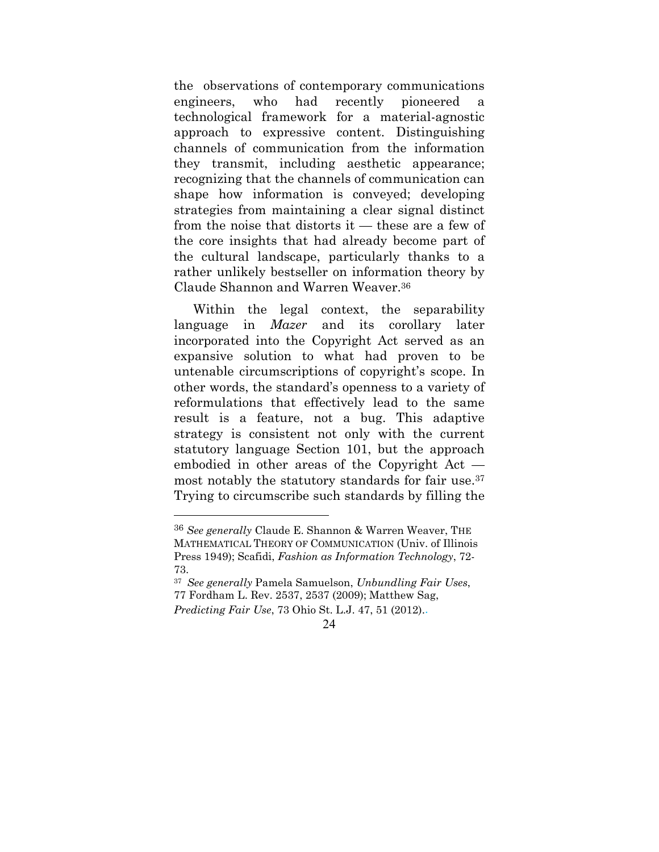the observations of contemporary communications engineers, who had recently pioneered a technological framework for a material-agnostic approach to expressive content. Distinguishing channels of communication from the information they transmit, including aesthetic appearance; recognizing that the channels of communication can shape how information is conveyed; developing strategies from maintaining a clear signal distinct from the noise that distorts it — these are a few of the core insights that had already become part of the cultural landscape, particularly thanks to a rather unlikely bestseller on information theory by Claude Shannon and Warren Weaver.36

Within the legal context, the separability language in *Mazer* and its corollary later incorporated into the Copyright Act served as an expansive solution to what had proven to be untenable circumscriptions of copyright's scope. In other words, the standard's openness to a variety of reformulations that effectively lead to the same result is a feature, not a bug. This adaptive strategy is consistent not only with the current statutory language Section 101, but the approach embodied in other areas of the Copyright Act most notably the statutory standards for fair use.37 Trying to circumscribe such standards by filling the

<sup>36</sup> *See generally* Claude E. Shannon & Warren Weaver, THE MATHEMATICAL THEORY OF COMMUNICATION (Univ. of Illinois Press 1949); Scafidi, *Fashion as Information Technology*, 72- 73.

<sup>37</sup> *See generally* Pamela Samuelson, *Unbundling Fair Uses*, 77 Fordham L. Rev. 2537, 2537 (2009); Matthew Sag, *Predicting Fair Use*, 73 Ohio St. L.J. 47, 51 (2012)..

<sup>24</sup>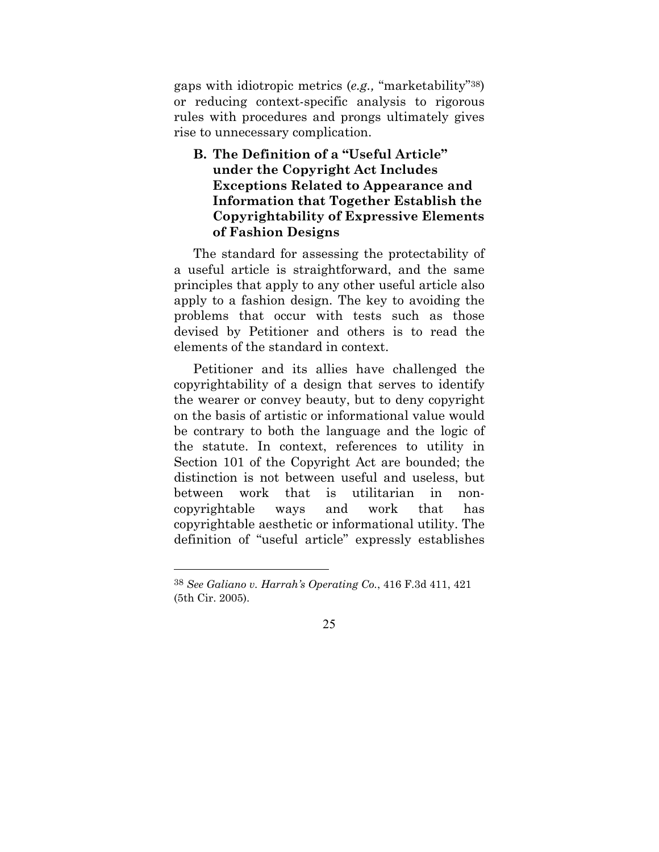gaps with idiotropic metrics (*e.g.,* "marketability"38) or reducing context-specific analysis to rigorous rules with procedures and prongs ultimately gives rise to unnecessary complication.

**B. The Definition of a "Useful Article" under the Copyright Act Includes Exceptions Related to Appearance and Information that Together Establish the Copyrightability of Expressive Elements of Fashion Designs** 

The standard for assessing the protectability of a useful article is straightforward, and the same principles that apply to any other useful article also apply to a fashion design. The key to avoiding the problems that occur with tests such as those devised by Petitioner and others is to read the elements of the standard in context.

Petitioner and its allies have challenged the copyrightability of a design that serves to identify the wearer or convey beauty, but to deny copyright on the basis of artistic or informational value would be contrary to both the language and the logic of the statute. In context, references to utility in Section 101 of the Copyright Act are bounded; the distinction is not between useful and useless, but between work that is utilitarian in noncopyrightable ways and work that has copyrightable aesthetic or informational utility. The definition of "useful article" expressly establishes



<sup>38</sup> *See Galiano v. Harrah's Operating Co.*, 416 F.3d 411, 421 (5th Cir. 2005).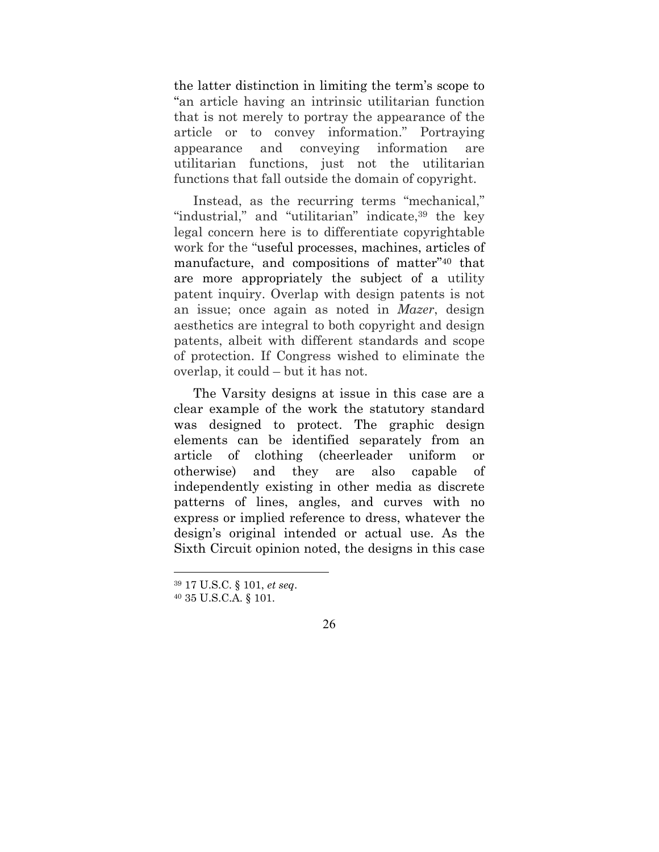the latter distinction in limiting the term's scope to "an article having an intrinsic utilitarian function that is not merely to portray the appearance of the article or to convey information." Portraying appearance and conveying information are utilitarian functions, just not the utilitarian functions that fall outside the domain of copyright.

Instead, as the recurring terms "mechanical," "industrial," and "utilitarian" indicate, <sup>39</sup> the key legal concern here is to differentiate copyrightable work for the "useful processes, machines, articles of manufacture, and compositions of matter"40 that are more appropriately the subject of a utility patent inquiry. Overlap with design patents is not an issue; once again as noted in *Mazer*, design aesthetics are integral to both copyright and design patents, albeit with different standards and scope of protection. If Congress wished to eliminate the overlap, it could – but it has not.

The Varsity designs at issue in this case are a clear example of the work the statutory standard was designed to protect. The graphic design elements can be identified separately from an article of clothing (cheerleader uniform or otherwise) and they are also capable of independently existing in other media as discrete patterns of lines, angles, and curves with no express or implied reference to dress, whatever the design's original intended or actual use. As the Sixth Circuit opinion noted, the designs in this case

<sup>39 17</sup> U.S.C. § 101, *et seq*. 40 35 U.S.C.A. § 101.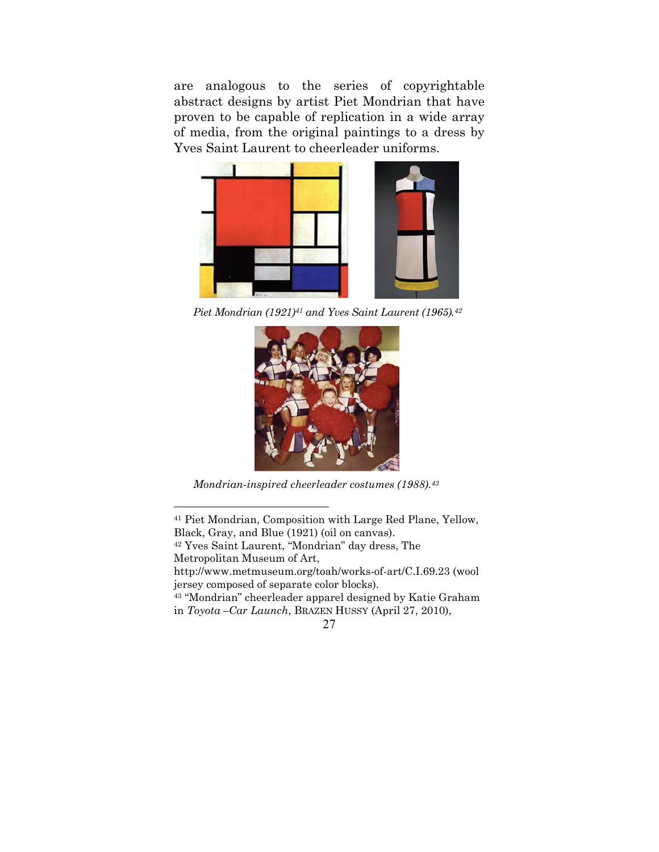are analogous to the series of copyrightable abstract designs by artist Piet Mondrian that have proven to be capable of replication in a wide array of media, from the original paintings to a dress by Yves Saint Laurent to cheerleader uniforms.



*Piet Mondrian (1921)41 and Yves Saint Laurent (1965).42* 



*Mondrian-inspired cheerleader costumes (1988).43*

 $\overline{a}$ 

http://www.metmuseum.org/toah/works-of-art/C.I.69.23 (wool jersey composed of separate color blocks).

43 "Mondrian" cheerleader apparel designed by Katie Graham in *Toyota –Car Launch*, BRAZEN HUSSY (April 27, 2010),

<sup>41</sup> Piet Mondrian, Composition with Large Red Plane, Yellow, Black, Gray, and Blue (1921) (oil on canvas).

<sup>42</sup> Yves Saint Laurent, "Mondrian" day dress, The

Metropolitan Museum of Art,

<sup>27</sup>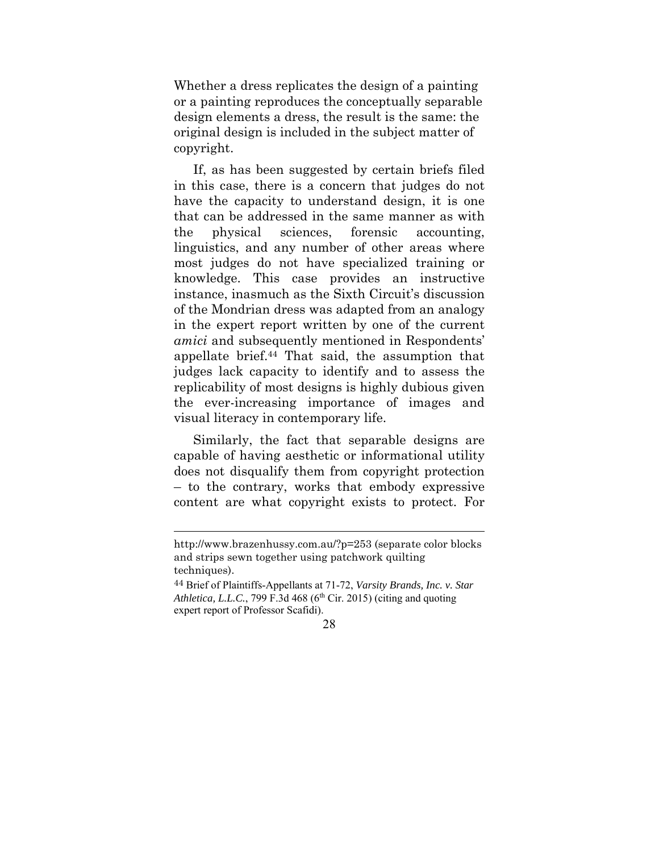Whether a dress replicates the design of a painting or a painting reproduces the conceptually separable design elements a dress, the result is the same: the original design is included in the subject matter of copyright.

If, as has been suggested by certain briefs filed in this case, there is a concern that judges do not have the capacity to understand design, it is one that can be addressed in the same manner as with the physical sciences, forensic accounting, linguistics, and any number of other areas where most judges do not have specialized training or knowledge. This case provides an instructive instance, inasmuch as the Sixth Circuit's discussion of the Mondrian dress was adapted from an analogy in the expert report written by one of the current *amici* and subsequently mentioned in Respondents' appellate brief.44 That said, the assumption that judges lack capacity to identify and to assess the replicability of most designs is highly dubious given the ever-increasing importance of images and visual literacy in contemporary life.

Similarly, the fact that separable designs are capable of having aesthetic or informational utility does not disqualify them from copyright protection – to the contrary, works that embody expressive content are what copyright exists to protect. For

http://www.brazenhussy.com.au/?p=253 (separate color blocks and strips sewn together using patchwork quilting techniques).

<sup>44</sup> Brief of Plaintiffs-Appellants at 71-72, *Varsity Brands, Inc. v. Star*  Athletica, L.L.C., 799 F.3d 468 (6<sup>th</sup> Cir. 2015) (citing and quoting expert report of Professor Scafidi).

<sup>28</sup>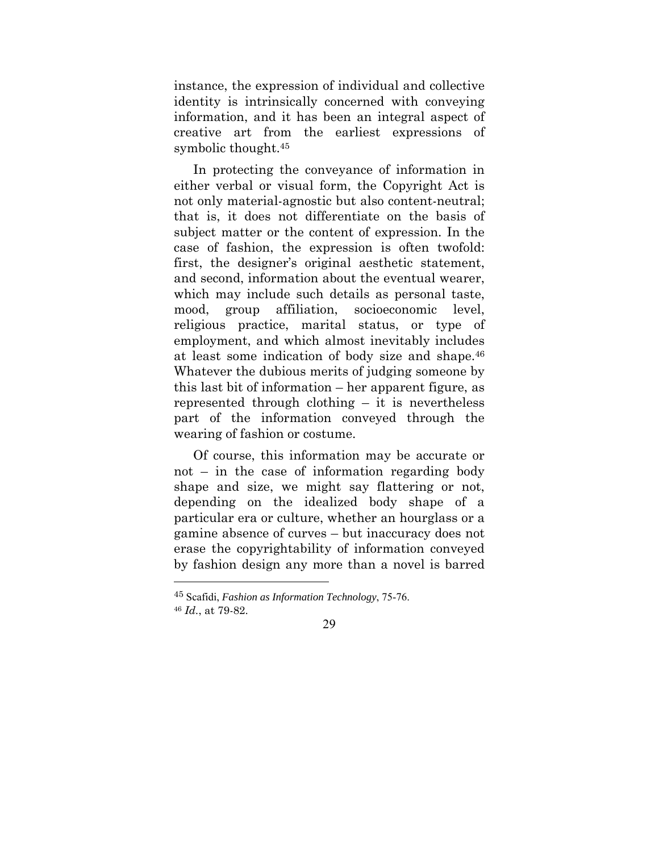instance, the expression of individual and collective identity is intrinsically concerned with conveying information, and it has been an integral aspect of creative art from the earliest expressions of symbolic thought.45

In protecting the conveyance of information in either verbal or visual form, the Copyright Act is not only material-agnostic but also content-neutral; that is, it does not differentiate on the basis of subject matter or the content of expression. In the case of fashion, the expression is often twofold: first, the designer's original aesthetic statement, and second, information about the eventual wearer, which may include such details as personal taste, mood, group affiliation, socioeconomic level, religious practice, marital status, or type of employment, and which almost inevitably includes at least some indication of body size and shape.46 Whatever the dubious merits of judging someone by this last bit of information – her apparent figure, as represented through clothing – it is nevertheless part of the information conveyed through the wearing of fashion or costume.

Of course, this information may be accurate or not – in the case of information regarding body shape and size, we might say flattering or not, depending on the idealized body shape of a particular era or culture, whether an hourglass or a gamine absence of curves – but inaccuracy does not erase the copyrightability of information conveyed by fashion design any more than a novel is barred

 $\overline{a}$ 

<sup>45</sup> Scafidi, *Fashion as Information Technology*, 75-76. <sup>46</sup> *Id.*, at 79-82.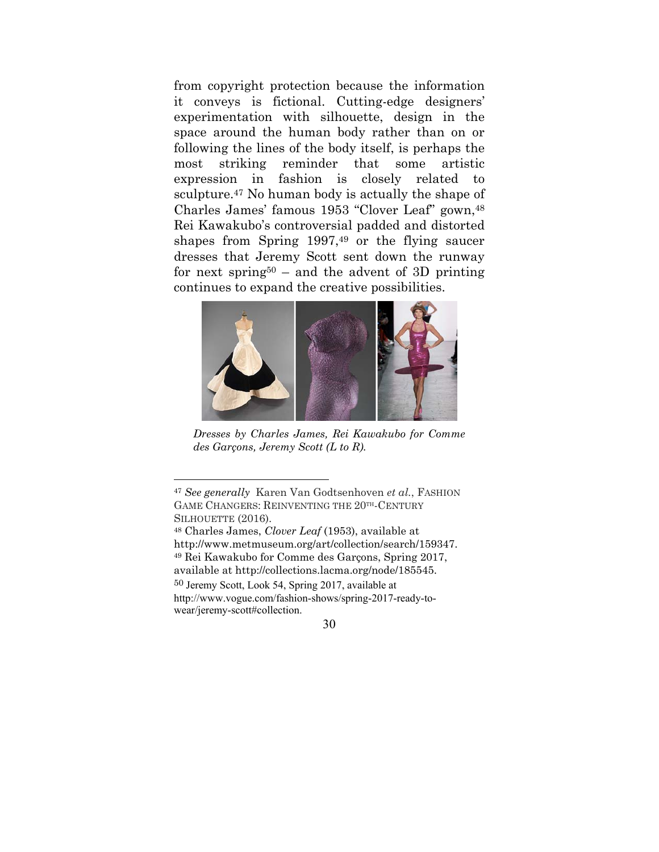from copyright protection because the information it conveys is fictional. Cutting-edge designers' experimentation with silhouette, design in the space around the human body rather than on or following the lines of the body itself, is perhaps the most striking reminder that some artistic expression in fashion is closely related to sculpture.<sup>47</sup> No human body is actually the shape of Charles James' famous 1953 "Clover Leaf" gown,48 Rei Kawakubo's controversial padded and distorted shapes from Spring 1997,49 or the flying saucer dresses that Jeremy Scott sent down the runway for next spring<sup>50</sup> – and the advent of 3D printing continues to expand the creative possibilities.



*Dresses by Charles James, Rei Kawakubo for Comme des Garçons, Jeremy Scott (L to R).* 

 $\overline{a}$ 

<sup>50</sup> Jeremy Scott, Look 54, Spring 2017, available at http://www.vogue.com/fashion-shows/spring-2017-ready-towear/jeremy-scott#collection.

<sup>47</sup> *See generally* Karen Van Godtsenhoven *et al.*, FASHION GAME CHANGERS: REINVENTING THE 20TH-CENTURY SILHOUETTE (2016).

<sup>48</sup> Charles James, *Clover Leaf* (1953), available at http://www.metmuseum.org/art/collection/search/159347. 49 Rei Kawakubo for Comme des Garçons, Spring 2017, available at http://collections.lacma.org/node/185545.

<sup>30</sup>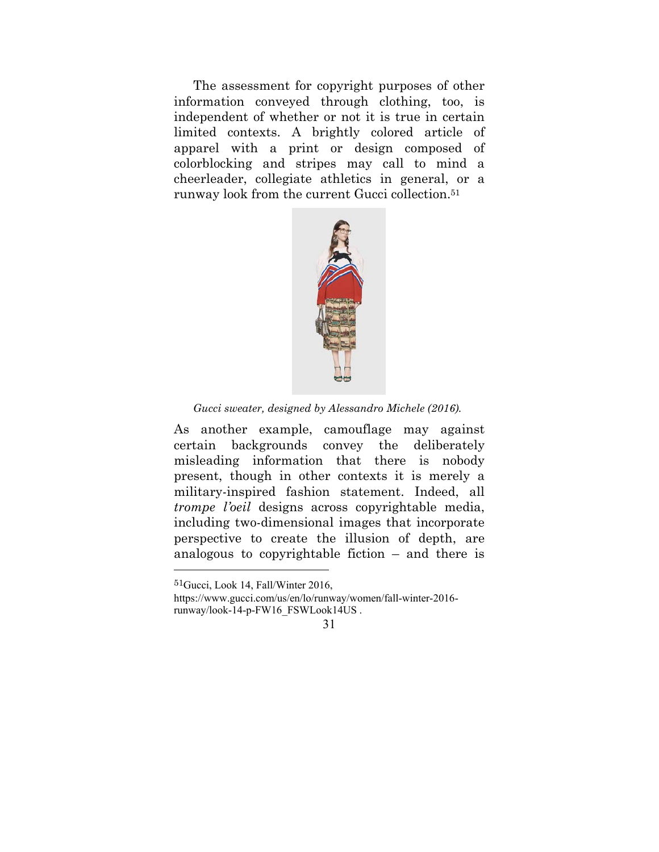The assessment for copyright purposes of other information conveyed through clothing, too, is independent of whether or not it is true in certain limited contexts. A brightly colored article of apparel with a print or design composed of colorblocking and stripes may call to mind a cheerleader, collegiate athletics in general, or a runway look from the current Gucci collection.51



*Gucci sweater, designed by Alessandro Michele (2016).* 

As another example, camouflage may against certain backgrounds convey the deliberately misleading information that there is nobody present, though in other contexts it is merely a military-inspired fashion statement. Indeed, all *trompe l'oeil* designs across copyrightable media, including two-dimensional images that incorporate perspective to create the illusion of depth, are analogous to copyrightable fiction – and there is

<sup>51</sup>Gucci, Look 14, Fall/Winter 2016,

https://www.gucci.com/us/en/lo/runway/women/fall-winter-2016 runway/look-14-p-FW16\_FSWLook14US .

<sup>31</sup>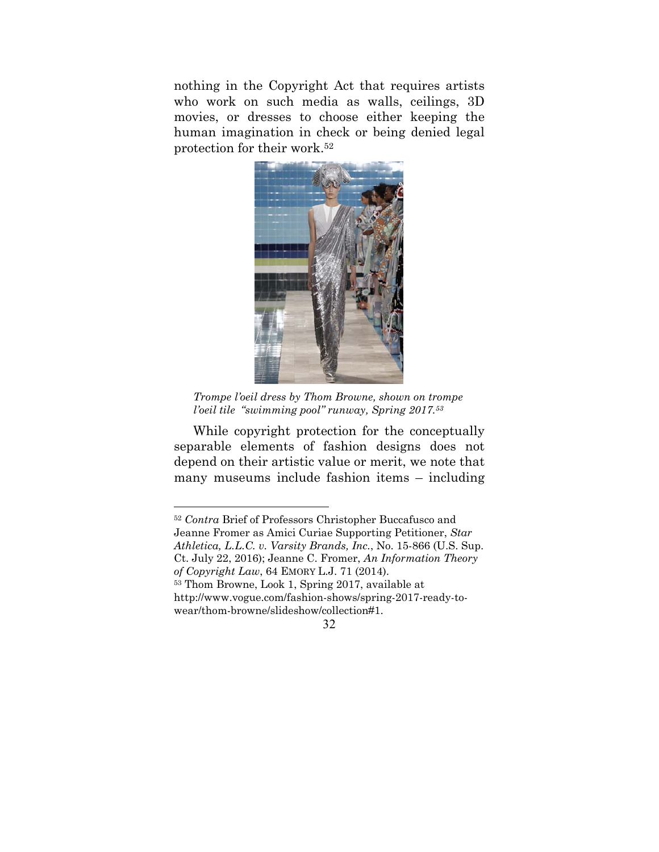nothing in the Copyright Act that requires artists who work on such media as walls, ceilings, 3D movies, or dresses to choose either keeping the human imagination in check or being denied legal protection for their work.52



*Trompe l'oeil dress by Thom Browne, shown on trompe l'oeil tile "swimming pool" runway, Spring 2017.53*

While copyright protection for the conceptually separable elements of fashion designs does not depend on their artistic value or merit, we note that many museums include fashion items – including

<sup>52</sup> *Contra* Brief of Professors Christopher Buccafusco and Jeanne Fromer as Amici Curiae Supporting Petitioner, *Star Athletica, L.L.C. v. Varsity Brands, Inc.*, No. 15-866 (U.S. Sup. Ct. July 22, 2016); Jeanne C. Fromer, *An Information Theory of Copyright Law*, 64 EMORY L.J. 71 (2014). 53 Thom Browne, Look 1, Spring 2017, available at

http://www.vogue.com/fashion-shows/spring-2017-ready-towear/thom-browne/slideshow/collection#1.

<sup>32</sup>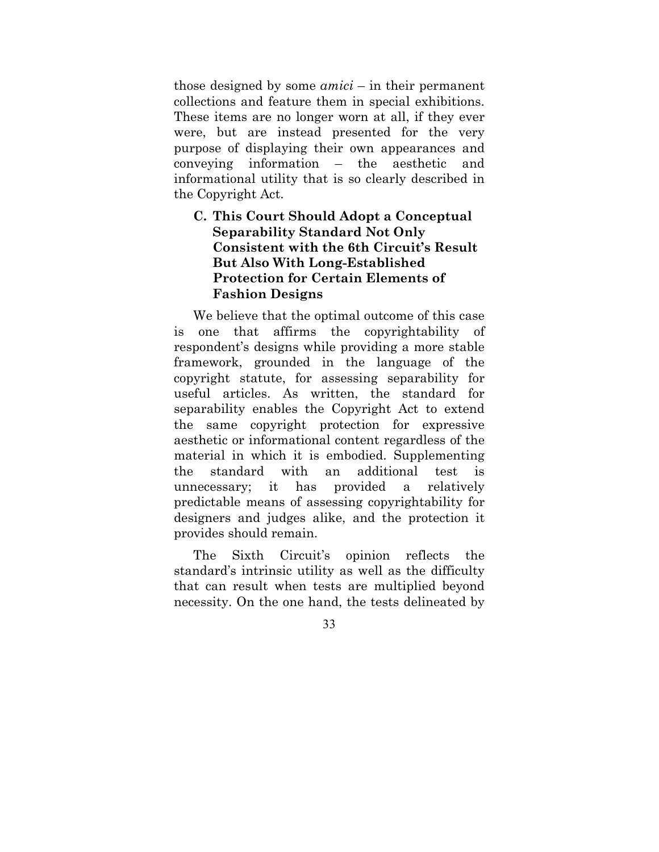those designed by some *amici* – in their permanent collections and feature them in special exhibitions. These items are no longer worn at all, if they ever were, but are instead presented for the very purpose of displaying their own appearances and conveying information – the aesthetic and informational utility that is so clearly described in the Copyright Act.

## **C. This Court Should Adopt a Conceptual Separability Standard Not Only Consistent with the 6th Circuit's Result But Also With Long-Established Protection for Certain Elements of Fashion Designs**

We believe that the optimal outcome of this case one that affirms the copyrightability of respondent's designs while providing a more stable framework, grounded in the language of the copyright statute, for assessing separability for useful articles. As written, the standard for separability enables the Copyright Act to extend the same copyright protection for expressive aesthetic or informational content regardless of the material in which it is embodied. Supplementing the standard with an additional test is unnecessary; it has provided a relatively predictable means of assessing copyrightability for designers and judges alike, and the protection it provides should remain.

The Sixth Circuit's opinion reflects the standard's intrinsic utility as well as the difficulty that can result when tests are multiplied beyond necessity. On the one hand, the tests delineated by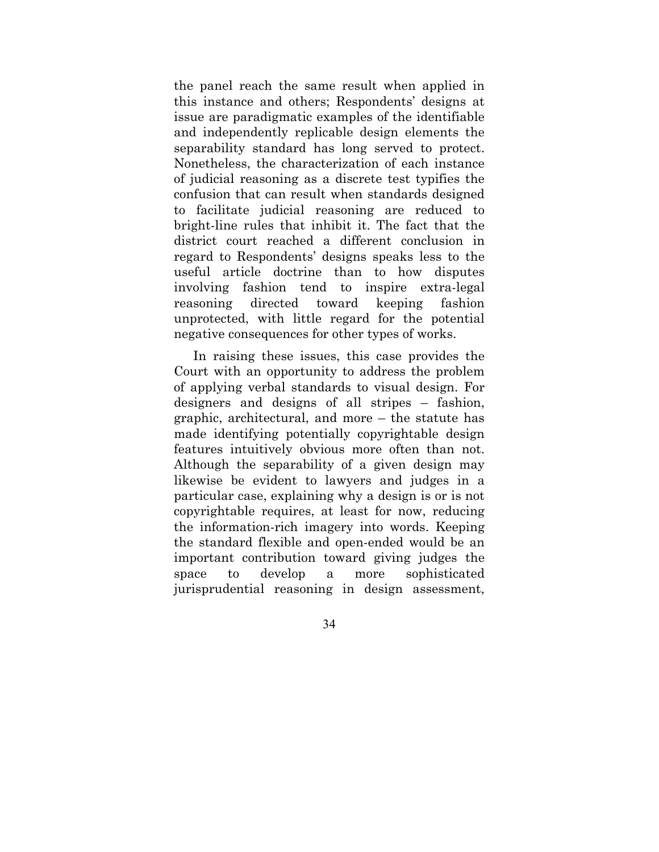the panel reach the same result when applied in this instance and others; Respondents' designs at issue are paradigmatic examples of the identifiable and independently replicable design elements the separability standard has long served to protect. Nonetheless, the characterization of each instance of judicial reasoning as a discrete test typifies the confusion that can result when standards designed to facilitate judicial reasoning are reduced to bright-line rules that inhibit it. The fact that the district court reached a different conclusion in regard to Respondents' designs speaks less to the useful article doctrine than to how disputes involving fashion tend to inspire extra-legal reasoning directed toward keeping fashion unprotected, with little regard for the potential negative consequences for other types of works.

In raising these issues, this case provides the Court with an opportunity to address the problem of applying verbal standards to visual design. For designers and designs of all stripes – fashion, graphic, architectural, and more – the statute has made identifying potentially copyrightable design features intuitively obvious more often than not. Although the separability of a given design may likewise be evident to lawyers and judges in a particular case, explaining why a design is or is not copyrightable requires, at least for now, reducing the information-rich imagery into words. Keeping the standard flexible and open-ended would be an important contribution toward giving judges the space to develop a more sophisticated jurisprudential reasoning in design assessment,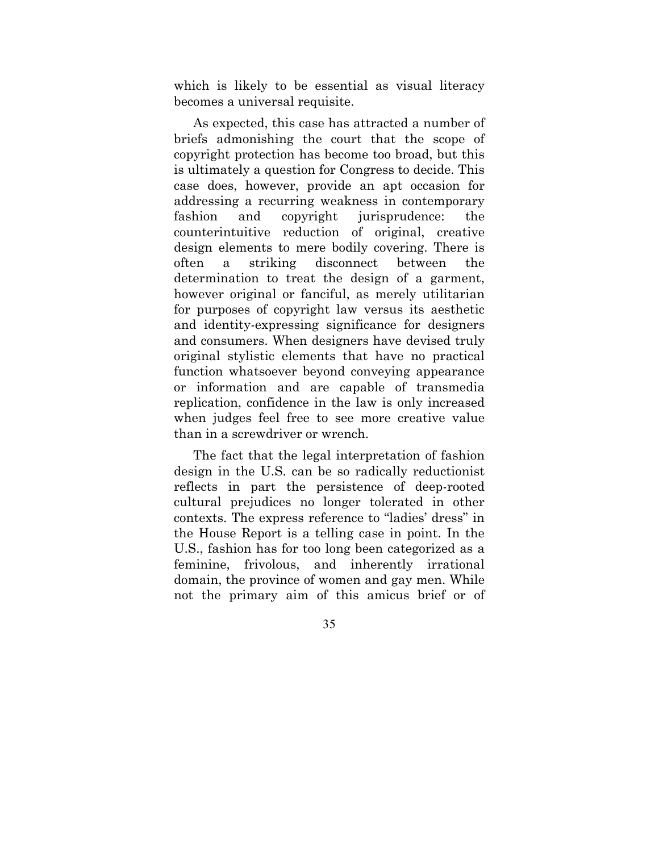which is likely to be essential as visual literacy becomes a universal requisite.

As expected, this case has attracted a number of briefs admonishing the court that the scope of copyright protection has become too broad, but this is ultimately a question for Congress to decide. This case does, however, provide an apt occasion for addressing a recurring weakness in contemporary fashion and copyright jurisprudence: the counterintuitive reduction of original, creative design elements to mere bodily covering. There is often a striking disconnect between the determination to treat the design of a garment, however original or fanciful, as merely utilitarian for purposes of copyright law versus its aesthetic and identity-expressing significance for designers and consumers. When designers have devised truly original stylistic elements that have no practical function whatsoever beyond conveying appearance or information and are capable of transmedia replication, confidence in the law is only increased when judges feel free to see more creative value than in a screwdriver or wrench.

The fact that the legal interpretation of fashion design in the U.S. can be so radically reductionist reflects in part the persistence of deep-rooted cultural prejudices no longer tolerated in other contexts. The express reference to "ladies' dress" in the House Report is a telling case in point. In the U.S., fashion has for too long been categorized as a feminine, frivolous, and inherently irrational domain, the province of women and gay men. While not the primary aim of this amicus brief or of